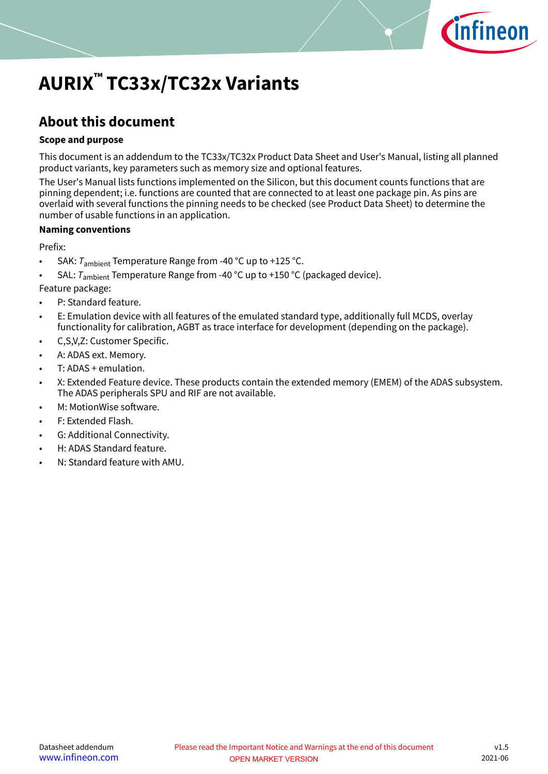

# <span id="page-0-0"></span>**AURIX™ TC33x/TC32x Variants**

### **About this document**

### **Scope and purpose**

This document is an addendum to the TC33x/TC32x Product Data Sheet and User's Manual, listing all planned product variants, key parameters such as memory size and optional features.

The User's Manual lists functions implemented on the Silicon, but this document counts functions that are pinning dependent; i.e. functions are counted that are connected to at least one package pin. As pins are overlaid with several functions the pinning needs to be checked (see Product Data Sheet) to determine the number of usable functions in an application.

### **Naming conventions**

Prefix:

- SAK:  $T_{\text{ambient}}$  Temperature Range from -40 °C up to +125 °C.
- SAL:  $T_{\text{ambient}}$  Temperature Range from -40 °C up to +150 °C (packaged device).

Feature package:

- P: Standard feature.
- E: Emulation device with all features of the emulated standard type, additionally full MCDS, overlay functionality for calibration, AGBT as trace interface for development (depending on the package).
- C,S,V,Z: Customer Specific.
- A: ADAS ext. Memory.
- T: ADAS + emulation.
- X: Extended Feature device. These products contain the extended memory (EMEM) of the ADAS subsystem. The ADAS peripherals SPU and RIF are not available.
- M: MotionWise software.
- F: Extended Flash.
- G: Additional Connectivity.
- H: ADAS Standard feature.
- N: Standard feature with AMU.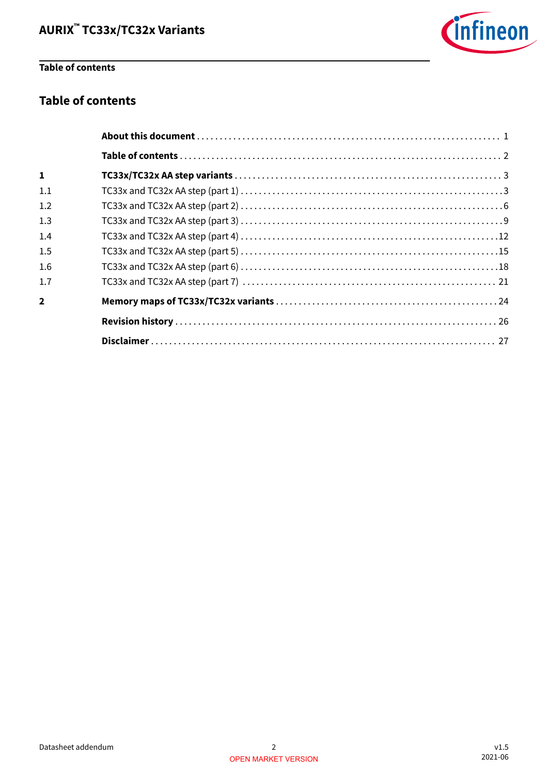

### **Table of contents**

### **Table of contents**

| $\mathbf{1}$   |  |
|----------------|--|
| 1.1            |  |
| 1.2            |  |
| 1.3            |  |
| 1.4            |  |
| 1.5            |  |
| 1.6            |  |
| 1.7            |  |
| $\overline{2}$ |  |
|                |  |
|                |  |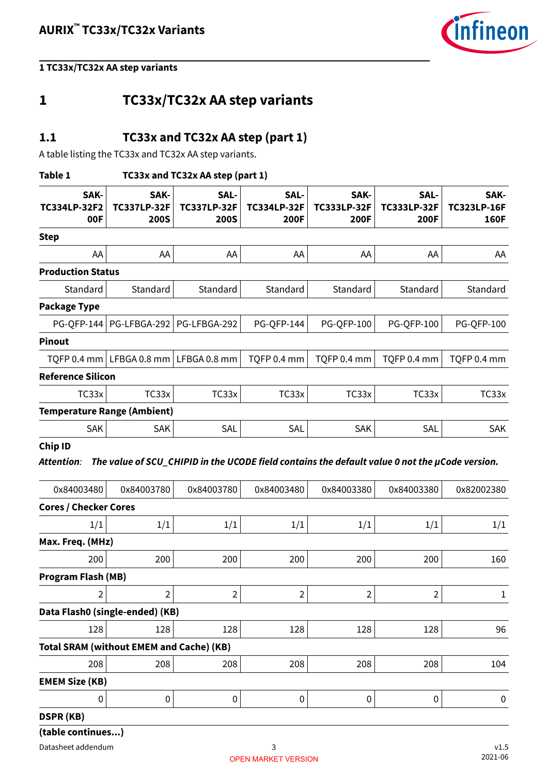

### <span id="page-2-0"></span>**1 TC33x/TC32x AA step variants**

### **1.1 TC33x and TC32x AA step (part 1)**

A table listing the TC33x and TC32x AA step variants.

#### **Table 1 TC33x and TC32x AA step (part 1)**

| SAK-<br><b>TC334LP-32F2</b><br>00F | SAK-<br><b>TC337LP-32F</b><br><b>200S</b> | SAL-<br><b>TC337LP-32F</b><br><b>200S</b> | SAL-<br><b>TC334LP-32F</b><br>200F | SAK-<br><b>TC333LP-32F</b><br>200F | SAL-<br><b>TC333LP-32F</b><br>200F | SAK-<br><b>TC323LP-16F</b><br><b>160F</b> |
|------------------------------------|-------------------------------------------|-------------------------------------------|------------------------------------|------------------------------------|------------------------------------|-------------------------------------------|
| <b>Step</b>                        |                                           |                                           |                                    |                                    |                                    |                                           |
| AA                                 | AA                                        | AA                                        | AA                                 | AA                                 | AA                                 | AA                                        |
| <b>Production Status</b>           |                                           |                                           |                                    |                                    |                                    |                                           |
| Standard                           | Standard                                  | Standard                                  | Standard                           | Standard                           | Standard                           | Standard                                  |
| Package Type                       |                                           |                                           |                                    |                                    |                                    |                                           |
| <b>PG-OFP-144</b>                  | PG-LFBGA-292                              | PG-LFBGA-292                              | PG-QFP-144                         | <b>PG-QFP-100</b>                  | <b>PG-QFP-100</b>                  | <b>PG-QFP-100</b>                         |
| Pinout                             |                                           |                                           |                                    |                                    |                                    |                                           |
| TQFP 0.4 mm                        |                                           | LFBGA 0.8 mm $ $ LFBGA 0.8 mm             | TQFP 0.4 mm                        | TQFP 0.4 mm                        | TQFP 0.4 mm                        | TQFP 0.4 mm                               |
| <b>Reference Silicon</b>           |                                           |                                           |                                    |                                    |                                    |                                           |
| TC33x                              | TC33x                                     | TC33x                                     | TC33x                              | TC33x                              | TC33x                              | TC33x                                     |
|                                    | <b>Temperature Range (Ambient)</b>        |                                           |                                    |                                    |                                    |                                           |
| <b>SAK</b>                         | <b>SAK</b>                                | <b>SAL</b>                                | SAL                                | <b>SAK</b>                         | SAL                                | <b>SAK</b>                                |
| $\sim$ $\sim$ $\sim$               |                                           |                                           |                                    |                                    |                                    |                                           |

#### **Chip ID**

**Attention**: **The value of SCU\_CHIPID in the UCODE field contains the default value 0 not the µCode version.**

| 0x84003480                                      | 0x84003780     | 0x84003780 | 0x84003480     | 0x84003380 | 0x84003380     | 0x82002380 |
|-------------------------------------------------|----------------|------------|----------------|------------|----------------|------------|
| <b>Cores / Checker Cores</b>                    |                |            |                |            |                |            |
| 1/1                                             | 1/1            | 1/1        | 1/1            | 1/1        | 1/1            | 1/1        |
| Max. Freq. (MHz)                                |                |            |                |            |                |            |
| 200                                             | 200            | 200        | 200            | 200        | 200            | 160        |
| <b>Program Flash (MB)</b>                       |                |            |                |            |                |            |
| 2                                               | $\overline{2}$ | 2          | $\overline{2}$ | 2          | $\overline{2}$ | 1          |
| Data Flash0 (single-ended) (KB)                 |                |            |                |            |                |            |
| 128                                             | 128            | 128        | 128            | 128        | 128            | 96         |
| <b>Total SRAM (without EMEM and Cache) (KB)</b> |                |            |                |            |                |            |
| 208                                             | 208            | 208        | 208            | 208        | 208            | 104        |
| <b>EMEM Size (KB)</b>                           |                |            |                |            |                |            |
| 0                                               | 0              | 0          | $\mathbf{0}$   | 0          | 0              | 0          |
| <b>DSPR (KB)</b>                                |                |            |                |            |                |            |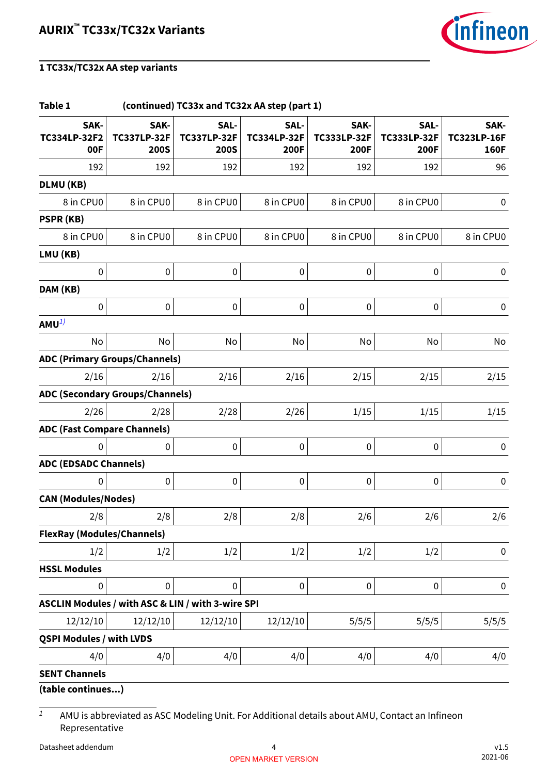

| Table 1                                           |                                           |                                           | (continued) TC33x and TC32x AA step (part 1) |                                           |                                    |                                           |
|---------------------------------------------------|-------------------------------------------|-------------------------------------------|----------------------------------------------|-------------------------------------------|------------------------------------|-------------------------------------------|
| SAK-<br>TC334LP-32F2<br>00F                       | SAK-<br><b>TC337LP-32F</b><br><b>200S</b> | SAL-<br><b>TC337LP-32F</b><br><b>200S</b> | SAL-<br><b>TC334LP-32F</b><br><b>200F</b>    | SAK-<br><b>TC333LP-32F</b><br><b>200F</b> | SAL-<br><b>TC333LP-32F</b><br>200F | SAK-<br><b>TC323LP-16F</b><br><b>160F</b> |
| 192                                               | 192                                       | 192                                       | 192                                          | 192                                       | 192                                | 96                                        |
| DLMU (KB)                                         |                                           |                                           |                                              |                                           |                                    |                                           |
| 8 in CPU0                                         | 8 in CPU0                                 | 8 in CPU0                                 | 8 in CPU0                                    | 8 in CPU0                                 | 8 in CPU0                          | 0                                         |
| PSPR (KB)                                         |                                           |                                           |                                              |                                           |                                    |                                           |
| 8 in CPU0                                         | 8 in CPU0                                 | 8 in CPU0                                 | 8 in CPU0                                    | 8 in CPU0                                 | 8 in CPU0                          | 8 in CPU0                                 |
| LMU (KB)                                          |                                           |                                           |                                              |                                           |                                    |                                           |
| $\pmb{0}$                                         | $\pmb{0}$                                 | $\boldsymbol{0}$                          | $\pmb{0}$                                    | $\pmb{0}$                                 | $\pmb{0}$                          | $\pmb{0}$                                 |
| DAM (KB)                                          |                                           |                                           |                                              |                                           |                                    |                                           |
| 0                                                 | 0                                         | 0                                         | $\mathbf 0$                                  | $\pmb{0}$                                 | $\pmb{0}$                          | $\pmb{0}$                                 |
| $AMU^{1}$                                         |                                           |                                           |                                              |                                           |                                    |                                           |
| No                                                | No                                        | No                                        | No                                           | No                                        | No                                 | No                                        |
| <b>ADC (Primary Groups/Channels)</b>              |                                           |                                           |                                              |                                           |                                    |                                           |
| 2/16                                              | 2/16                                      | 2/16                                      | 2/16                                         | 2/15                                      | 2/15                               | 2/15                                      |
| <b>ADC (Secondary Groups/Channels)</b>            |                                           |                                           |                                              |                                           |                                    |                                           |
| 2/26                                              | 2/28                                      | 2/28                                      | 2/26                                         | 1/15                                      | 1/15                               | 1/15                                      |
| <b>ADC (Fast Compare Channels)</b>                |                                           |                                           |                                              |                                           |                                    |                                           |
| 0                                                 | $\bf{0}$                                  | 0                                         | $\pmb{0}$                                    | $\pmb{0}$                                 | $\pmb{0}$                          | $\pmb{0}$                                 |
| <b>ADC (EDSADC Channels)</b>                      |                                           |                                           |                                              |                                           |                                    |                                           |
| 0                                                 | $\pmb{0}$                                 | 0                                         | $\pmb{0}$                                    | $\pmb{0}$                                 | $\boldsymbol{0}$                   | $\pmb{0}$                                 |
| <b>CAN (Modules/Nodes)</b>                        |                                           |                                           |                                              |                                           |                                    |                                           |
| 2/8                                               | 2/8                                       | 2/8                                       | 2/8                                          | 2/6                                       | 2/6                                | 2/6                                       |
| <b>FlexRay (Modules/Channels)</b>                 |                                           |                                           |                                              |                                           |                                    |                                           |
| 1/2                                               | 1/2                                       | 1/2                                       | 1/2                                          | 1/2                                       | 1/2                                | 0                                         |
| <b>HSSL Modules</b>                               |                                           |                                           |                                              |                                           |                                    |                                           |
| 0                                                 | 0                                         | 0                                         | $\pmb{0}$                                    | $\pmb{0}$                                 | $\pmb{0}$                          | $\pmb{0}$                                 |
| ASCLIN Modules / with ASC & LIN / with 3-wire SPI |                                           |                                           |                                              |                                           |                                    |                                           |
| 12/12/10                                          | 12/12/10                                  | 12/12/10                                  | 12/12/10                                     | 5/5/5                                     | 5/5/5                              | 5/5/5                                     |
| <b>QSPI Modules / with LVDS</b>                   |                                           |                                           |                                              |                                           |                                    |                                           |
| 4/0                                               | 4/0                                       | 4/0                                       | 4/0                                          | 4/0                                       | 4/0                                | 4/0                                       |
| <b>SENT Channels</b>                              |                                           |                                           |                                              |                                           |                                    |                                           |
| (table continues)                                 |                                           |                                           |                                              |                                           |                                    |                                           |

 $\overline{1}$  AMU is abbreviated as ASC Modeling Unit. For Additional details about AMU, Contact an Infineon Representative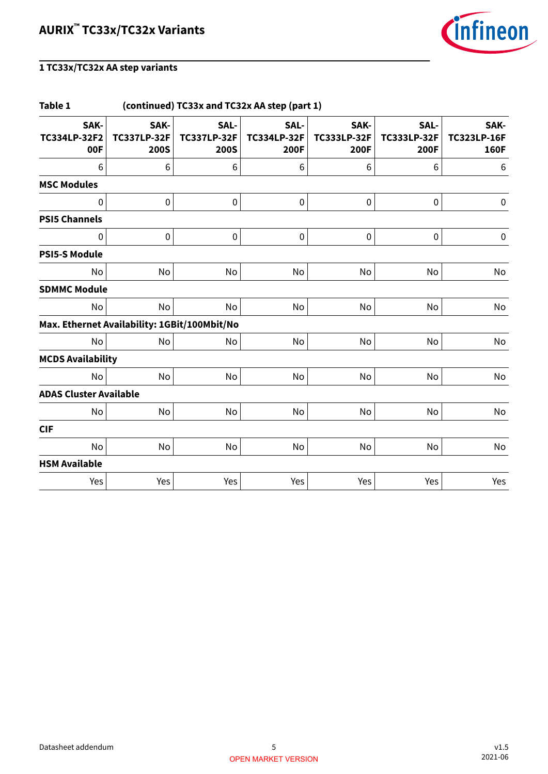

| Table 1                                      |                                           | (continued) TC33x and TC32x AA step (part 1) |                                    |                                    |                                    |                                           |  |  |
|----------------------------------------------|-------------------------------------------|----------------------------------------------|------------------------------------|------------------------------------|------------------------------------|-------------------------------------------|--|--|
| SAK-<br>TC334LP-32F2<br>00F                  | SAK-<br><b>TC337LP-32F</b><br><b>200S</b> | SAL-<br><b>TC337LP-32F</b><br><b>200S</b>    | SAL-<br><b>TC334LP-32F</b><br>200F | SAK-<br><b>TC333LP-32F</b><br>200F | SAL-<br><b>TC333LP-32F</b><br>200F | SAK-<br><b>TC323LP-16F</b><br><b>160F</b> |  |  |
| 6                                            | 6                                         | 6                                            | 6                                  | 6                                  | 6                                  | 6                                         |  |  |
| <b>MSC Modules</b>                           |                                           |                                              |                                    |                                    |                                    |                                           |  |  |
| 0                                            | 0                                         | 0                                            | $\mathbf 0$                        | 0                                  | $\mathbf 0$                        | 0                                         |  |  |
| <b>PSI5 Channels</b>                         |                                           |                                              |                                    |                                    |                                    |                                           |  |  |
| 0                                            | $\pmb{0}$                                 | $\pmb{0}$                                    | $\pmb{0}$                          | $\pmb{0}$                          | $\pmb{0}$                          | $\pmb{0}$                                 |  |  |
| <b>PSI5-S Module</b>                         |                                           |                                              |                                    |                                    |                                    |                                           |  |  |
| <b>No</b>                                    | No                                        | No                                           | No                                 | No                                 | No                                 | No                                        |  |  |
| <b>SDMMC Module</b>                          |                                           |                                              |                                    |                                    |                                    |                                           |  |  |
| No                                           | No                                        | No                                           | No                                 | No                                 | No                                 | No                                        |  |  |
| Max. Ethernet Availability: 1GBit/100Mbit/No |                                           |                                              |                                    |                                    |                                    |                                           |  |  |
| No                                           | No                                        | No                                           | No                                 | No                                 | No                                 | No                                        |  |  |
| <b>MCDS Availability</b>                     |                                           |                                              |                                    |                                    |                                    |                                           |  |  |
| No                                           | No                                        | No                                           | No                                 | No                                 | No                                 | No                                        |  |  |
| <b>ADAS Cluster Available</b>                |                                           |                                              |                                    |                                    |                                    |                                           |  |  |
| No                                           | No                                        | No                                           | No                                 | No                                 | No                                 | No                                        |  |  |
| <b>CIF</b>                                   |                                           |                                              |                                    |                                    |                                    |                                           |  |  |
| No                                           | No                                        | No                                           | No                                 | No                                 | No                                 | No                                        |  |  |
| <b>HSM Available</b>                         |                                           |                                              |                                    |                                    |                                    |                                           |  |  |
| Yes                                          | Yes                                       | Yes                                          | Yes                                | Yes                                | Yes                                | Yes                                       |  |  |
|                                              |                                           |                                              |                                    |                                    |                                    |                                           |  |  |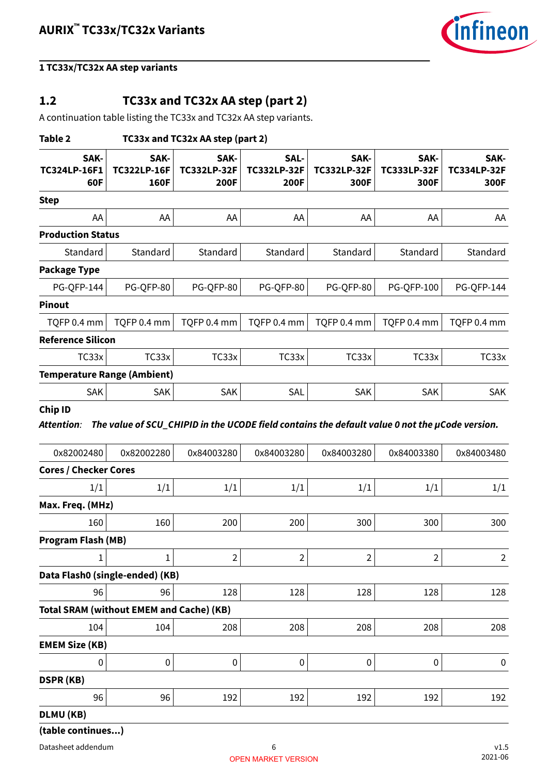

### <span id="page-5-0"></span>**1.2 TC33x and TC32x AA step (part 2)**

A continuation table listing the TC33x and TC32x AA step variants.

| Table 2                                         | TC33x and TC32x AA step (part 2)   |                                    |                                           |                                                                                                              |                                    |                                    |  |  |  |
|-------------------------------------------------|------------------------------------|------------------------------------|-------------------------------------------|--------------------------------------------------------------------------------------------------------------|------------------------------------|------------------------------------|--|--|--|
| SAK-<br><b>TC324LP-16F1</b><br>60F              | SAK-<br><b>TC322LP-16F</b><br>160F | SAK-<br><b>TC332LP-32F</b><br>200F | SAL-<br><b>TC332LP-32F</b><br><b>200F</b> | SAK-<br><b>TC332LP-32F</b><br>300F                                                                           | SAK-<br><b>TC333LP-32F</b><br>300F | SAK-<br><b>TC334LP-32F</b><br>300F |  |  |  |
| <b>Step</b>                                     |                                    |                                    |                                           |                                                                                                              |                                    |                                    |  |  |  |
| AA                                              | AA                                 | AA                                 | AA                                        | AA                                                                                                           | AA                                 | AA                                 |  |  |  |
| <b>Production Status</b>                        |                                    |                                    |                                           |                                                                                                              |                                    |                                    |  |  |  |
| Standard                                        | Standard                           | Standard                           | Standard                                  | Standard                                                                                                     | Standard                           | Standard                           |  |  |  |
| <b>Package Type</b>                             |                                    |                                    |                                           |                                                                                                              |                                    |                                    |  |  |  |
| <b>PG-QFP-144</b>                               | PG-QFP-80                          | PG-QFP-80                          | PG-QFP-80                                 | PG-QFP-80                                                                                                    | <b>PG-QFP-100</b>                  | <b>PG-QFP-144</b>                  |  |  |  |
| <b>Pinout</b>                                   |                                    |                                    |                                           |                                                                                                              |                                    |                                    |  |  |  |
| TQFP 0.4 mm                                     | TQFP 0.4 mm                        | TQFP 0.4 mm                        | TQFP 0.4 mm                               | TQFP 0.4 mm                                                                                                  | TQFP 0.4 mm                        | TQFP 0.4 mm                        |  |  |  |
| <b>Reference Silicon</b>                        |                                    |                                    |                                           |                                                                                                              |                                    |                                    |  |  |  |
| TC33x                                           | TC33x                              | TC33x                              | TC33x                                     | TC33x                                                                                                        | TC33x                              | TC33x                              |  |  |  |
| <b>Temperature Range (Ambient)</b>              |                                    |                                    |                                           |                                                                                                              |                                    |                                    |  |  |  |
| <b>SAK</b>                                      | SAK                                | SAK                                | SAL                                       | SAK                                                                                                          | <b>SAK</b>                         | <b>SAK</b>                         |  |  |  |
| Attention:<br>0x82002480                        | 0x82002280                         | 0x84003280                         | 0x84003280                                | The value of SCU_CHIPID in the UCODE field contains the default value 0 not the µCode version.<br>0x84003280 | 0x84003380                         | 0x84003480                         |  |  |  |
| <b>Cores / Checker Cores</b>                    |                                    |                                    |                                           |                                                                                                              |                                    |                                    |  |  |  |
| 1/1                                             | 1/1                                | 1/1                                | 1/1                                       | 1/1                                                                                                          | 1/1                                | 1/1                                |  |  |  |
| Max. Freq. (MHz)                                |                                    |                                    |                                           |                                                                                                              |                                    |                                    |  |  |  |
| 160                                             | 160                                | 200                                | 200                                       | 300                                                                                                          | 300                                | 300                                |  |  |  |
| Program Flash (MB)                              |                                    |                                    |                                           |                                                                                                              |                                    |                                    |  |  |  |
| 1                                               | $\mathbf 1$                        | $\overline{2}$                     | 2                                         | $\overline{2}$                                                                                               | 2                                  | $\overline{2}$                     |  |  |  |
| Data Flash0 (single-ended) (KB)                 |                                    |                                    |                                           |                                                                                                              |                                    |                                    |  |  |  |
| 96                                              | 96                                 | 128                                | 128                                       | 128                                                                                                          | 128                                | 128                                |  |  |  |
| <b>Total SRAM (without EMEM and Cache) (KB)</b> |                                    |                                    |                                           |                                                                                                              |                                    |                                    |  |  |  |
| 104                                             | 104                                | 208                                | 208                                       | 208                                                                                                          | 208                                | 208                                |  |  |  |
| <b>EMEM Size (KB)</b>                           |                                    |                                    |                                           |                                                                                                              |                                    |                                    |  |  |  |
| 0                                               | $\boldsymbol{0}$                   | $\pmb{0}$                          | 0                                         | $\boldsymbol{0}$                                                                                             | $\pmb{0}$                          | $\pmb{0}$                          |  |  |  |
| <b>DSPR (KB)</b>                                |                                    |                                    |                                           |                                                                                                              |                                    |                                    |  |  |  |
| 96                                              | 96                                 | 192                                | 192                                       | 192                                                                                                          | 192                                | 192                                |  |  |  |
| DLMU (KB)                                       |                                    |                                    |                                           |                                                                                                              |                                    |                                    |  |  |  |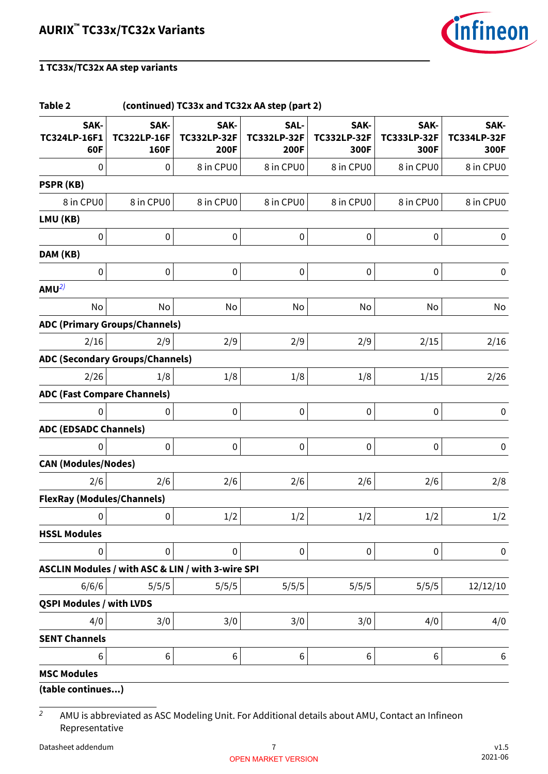

| Table 2                            |                                                   | (continued) TC33x and TC32x AA step (part 2) |                                           |                                    |                                    |                                    |
|------------------------------------|---------------------------------------------------|----------------------------------------------|-------------------------------------------|------------------------------------|------------------------------------|------------------------------------|
| SAK-<br>TC324LP-16F1<br>60F        | SAK-<br><b>TC322LP-16F</b><br>160F                | SAK-<br><b>TC332LP-32F</b><br><b>200F</b>    | SAL-<br><b>TC332LP-32F</b><br><b>200F</b> | SAK-<br><b>TC332LP-32F</b><br>300F | SAK-<br><b>TC333LP-32F</b><br>300F | SAK-<br><b>TC334LP-32F</b><br>300F |
| 0                                  | 0                                                 | 8 in CPU0                                    | 8 in CPU0                                 | 8 in CPU0                          | 8 in CPU0                          | 8 in CPU0                          |
| PSPR (KB)                          |                                                   |                                              |                                           |                                    |                                    |                                    |
| 8 in CPU0                          | 8 in CPU0                                         | 8 in CPU0                                    | 8 in CPU0                                 | 8 in CPU0                          | 8 in CPU0                          | 8 in CPU0                          |
| LMU (KB)                           |                                                   |                                              |                                           |                                    |                                    |                                    |
| 0                                  | $\pmb{0}$                                         | 0                                            | $\pmb{0}$                                 | $\pmb{0}$                          | $\pmb{0}$                          | 0                                  |
| DAM (KB)                           |                                                   |                                              |                                           |                                    |                                    |                                    |
| $\pmb{0}$                          | $\pmb{0}$                                         | 0                                            | $\pmb{0}$                                 | $\pmb{0}$                          | $\boldsymbol{0}$                   | $\pmb{0}$                          |
| AMU <sup>2</sup>                   |                                                   |                                              |                                           |                                    |                                    |                                    |
| No                                 | No                                                | No                                           | No                                        | No                                 | No                                 | No                                 |
|                                    | <b>ADC (Primary Groups/Channels)</b>              |                                              |                                           |                                    |                                    |                                    |
| 2/16                               | 2/9                                               | 2/9                                          | 2/9                                       | 2/9                                | 2/15                               | 2/16                               |
|                                    | <b>ADC (Secondary Groups/Channels)</b>            |                                              |                                           |                                    |                                    |                                    |
| 2/26                               | 1/8                                               | 1/8                                          | 1/8                                       | 1/8                                | 1/15                               | 2/26                               |
| <b>ADC (Fast Compare Channels)</b> |                                                   |                                              |                                           |                                    |                                    |                                    |
| $\Omega$                           | $\boldsymbol{0}$                                  | 0                                            | $\mathbf 0$                               | $\pmb{0}$                          | $\pmb{0}$                          | $\pmb{0}$                          |
| <b>ADC (EDSADC Channels)</b>       |                                                   |                                              |                                           |                                    |                                    |                                    |
| 0                                  | $\pmb{0}$                                         | 0                                            | $\pmb{0}$                                 | $\pmb{0}$                          | $\pmb{0}$                          | $\pmb{0}$                          |
| <b>CAN (Modules/Nodes)</b>         |                                                   |                                              |                                           |                                    |                                    |                                    |
| 2/6                                | 2/6                                               | 2/6                                          | 2/6                                       | 2/6                                | 2/6                                | 2/8                                |
| <b>FlexRay (Modules/Channels)</b>  |                                                   |                                              |                                           |                                    |                                    |                                    |
| $\mathbf{0}$                       | $\bf{0}$                                          | 1/2                                          | 1/2                                       | 1/2                                | 1/2                                | 1/2                                |
| <b>HSSL Modules</b>                |                                                   |                                              |                                           |                                    |                                    |                                    |
| $\pmb{0}$                          | $\pmb{0}$                                         | 0                                            | $\pmb{0}$                                 | $\pmb{0}$                          | $\pmb{0}$                          | 0                                  |
|                                    | ASCLIN Modules / with ASC & LIN / with 3-wire SPI |                                              |                                           |                                    |                                    |                                    |
| 6/6/6                              | 5/5/5                                             | 5/5/5                                        | 5/5/5                                     | 5/5/5                              | 5/5/5                              | 12/12/10                           |
| <b>QSPI Modules / with LVDS</b>    |                                                   |                                              |                                           |                                    |                                    |                                    |
| 4/0                                | 3/0                                               | 3/0                                          | 3/0                                       | 3/0                                | 4/0                                | 4/0                                |
| <b>SENT Channels</b>               |                                                   |                                              |                                           |                                    |                                    |                                    |
| 6                                  | $\,$ 6 $\,$                                       | 6                                            | 6                                         | 6                                  | 6                                  | 6                                  |
| <b>MSC Modules</b>                 |                                                   |                                              |                                           |                                    |                                    |                                    |
| (table continues)                  |                                                   |                                              |                                           |                                    |                                    |                                    |

 $\overline{2}$  AMU is abbreviated as ASC Modeling Unit. For Additional details about AMU, Contact an Infineon Representative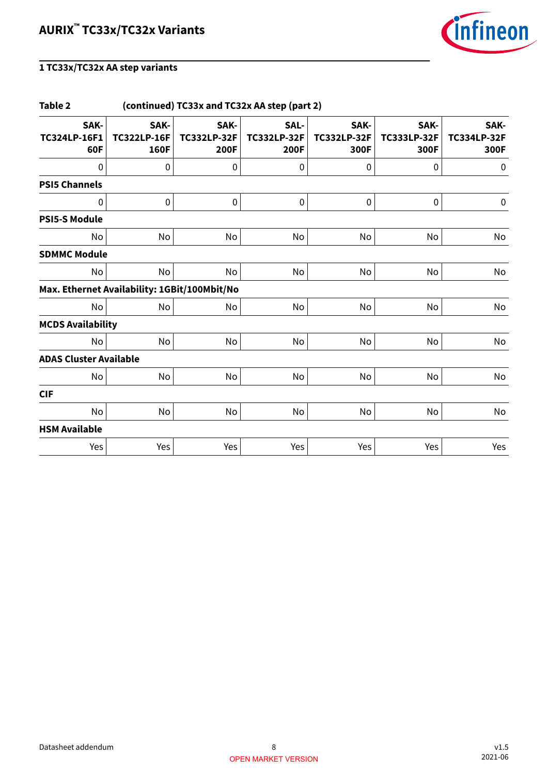

| Table 2                                      | (continued) TC33x and TC32x AA step (part 2) |                                    |                                           |                                    |                                    |                                    |  |  |  |
|----------------------------------------------|----------------------------------------------|------------------------------------|-------------------------------------------|------------------------------------|------------------------------------|------------------------------------|--|--|--|
| SAK-<br><b>TC324LP-16F1</b><br>60F           | SAK-<br><b>TC322LP-16F</b><br>160F           | SAK-<br><b>TC332LP-32F</b><br>200F | SAL-<br><b>TC332LP-32F</b><br><b>200F</b> | SAK-<br><b>TC332LP-32F</b><br>300F | SAK-<br><b>TC333LP-32F</b><br>300F | SAK-<br><b>TC334LP-32F</b><br>300F |  |  |  |
| $\mathbf 0$                                  | $\pmb{0}$                                    | 0                                  | $\mathbf 0$                               | $\mathbf 0$                        | $\boldsymbol{0}$                   | $\pmb{0}$                          |  |  |  |
| <b>PSI5 Channels</b>                         |                                              |                                    |                                           |                                    |                                    |                                    |  |  |  |
| 0                                            | $\pmb{0}$                                    | 0                                  | 0                                         | $\pmb{0}$                          | 0                                  | $\pmb{0}$                          |  |  |  |
| <b>PSI5-S Module</b>                         |                                              |                                    |                                           |                                    |                                    |                                    |  |  |  |
| No                                           | No                                           | No                                 | No                                        | No                                 | No                                 | No                                 |  |  |  |
| <b>SDMMC Module</b>                          |                                              |                                    |                                           |                                    |                                    |                                    |  |  |  |
| No                                           | No                                           | No                                 | No                                        | No                                 | No                                 | No                                 |  |  |  |
| Max. Ethernet Availability: 1GBit/100Mbit/No |                                              |                                    |                                           |                                    |                                    |                                    |  |  |  |
| No                                           | No                                           | No                                 | No                                        | No                                 | No                                 | No                                 |  |  |  |
| <b>MCDS Availability</b>                     |                                              |                                    |                                           |                                    |                                    |                                    |  |  |  |
| No                                           | No                                           | No                                 | No                                        | No                                 | No                                 | No                                 |  |  |  |
| <b>ADAS Cluster Available</b>                |                                              |                                    |                                           |                                    |                                    |                                    |  |  |  |
| No                                           | No                                           | No                                 | No                                        | No                                 | No                                 | No                                 |  |  |  |
| <b>CIF</b>                                   |                                              |                                    |                                           |                                    |                                    |                                    |  |  |  |
| No                                           | No                                           | No                                 | No                                        | No                                 | No                                 | No                                 |  |  |  |
| <b>HSM Available</b>                         |                                              |                                    |                                           |                                    |                                    |                                    |  |  |  |
| Yes                                          | Yes                                          | Yes                                | Yes                                       | Yes                                | Yes                                | Yes                                |  |  |  |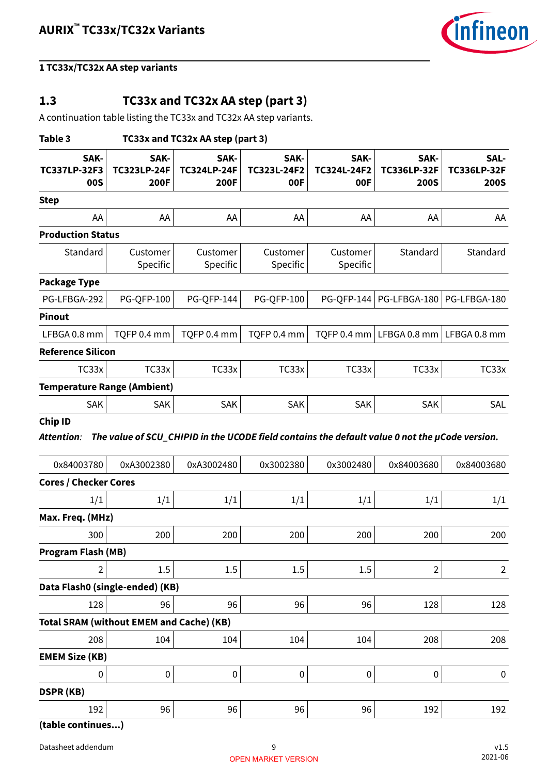

### <span id="page-8-0"></span>**1.3 TC33x and TC32x AA step (part 3)**

A continuation table listing the TC33x and TC32x AA step variants.

| Table 3<br>TC33x and TC32x AA step (part 3)     |                                           |                                                                                                |                            |                            |                                           |                                           |
|-------------------------------------------------|-------------------------------------------|------------------------------------------------------------------------------------------------|----------------------------|----------------------------|-------------------------------------------|-------------------------------------------|
| SAK-<br><b>TC337LP-32F3</b><br><b>00S</b>       | SAK-<br><b>TC323LP-24F</b><br><b>200F</b> | SAK-<br><b>TC324LP-24F</b><br>200F                                                             | SAK-<br>TC323L-24F2<br>00F | SAK-<br>TC324L-24F2<br>00F | SAK-<br><b>TC336LP-32F</b><br><b>200S</b> | SAL-<br><b>TC336LP-32F</b><br><b>200S</b> |
| <b>Step</b>                                     |                                           |                                                                                                |                            |                            |                                           |                                           |
| AA                                              | AA                                        | AA                                                                                             | AA                         | AA                         | AA                                        | AA                                        |
| <b>Production Status</b>                        |                                           |                                                                                                |                            |                            |                                           |                                           |
| Standard                                        | Customer<br>Specific                      | Customer<br>Specific                                                                           | Customer<br>Specific       | Customer<br>Specific       | Standard                                  | Standard                                  |
| <b>Package Type</b>                             |                                           |                                                                                                |                            |                            |                                           |                                           |
| PG-LFBGA-292                                    | <b>PG-QFP-100</b>                         | <b>PG-QFP-144</b>                                                                              | <b>PG-QFP-100</b>          | PG-QFP-144                 |                                           | PG-LFBGA-180   PG-LFBGA-180               |
| <b>Pinout</b>                                   |                                           |                                                                                                |                            |                            |                                           |                                           |
| LFBGA 0.8 mm                                    | TQFP 0.4 mm                               | TQFP 0.4 mm                                                                                    | TQFP 0.4 mm                | TQFP 0.4 mm                |                                           | LFBGA 0.8 mm $ $ LFBGA 0.8 mm             |
| <b>Reference Silicon</b>                        |                                           |                                                                                                |                            |                            |                                           |                                           |
| TC33x                                           | TC33x                                     | TC33x                                                                                          | TC33x                      | TC33x                      | TC33x                                     | TC33x                                     |
| <b>Temperature Range (Ambient)</b>              |                                           |                                                                                                |                            |                            |                                           |                                           |
| SAK                                             | SAK                                       | SAK                                                                                            | SAK                        | <b>SAK</b>                 | SAK                                       | SAL                                       |
| <b>Chip ID</b>                                  |                                           |                                                                                                |                            |                            |                                           |                                           |
| <b>Attention:</b>                               |                                           | The value of SCU_CHIPID in the UCODE field contains the default value 0 not the µCode version. |                            |                            |                                           |                                           |
| 0x84003780                                      | 0xA3002380                                | 0xA3002480                                                                                     | 0x3002380                  | 0x3002480                  | 0x84003680                                | 0x84003680                                |
| <b>Cores / Checker Cores</b>                    |                                           |                                                                                                |                            |                            |                                           |                                           |
| 1/1                                             | 1/1                                       | 1/1                                                                                            | 1/1                        | 1/1                        | 1/1                                       | 1/1                                       |
| Max. Freq. (MHz)                                |                                           |                                                                                                |                            |                            |                                           |                                           |
| 300                                             | 200                                       | 200                                                                                            | 200                        | 200                        | 200                                       | 200                                       |
| <b>Program Flash (MB)</b><br>2                  |                                           |                                                                                                |                            |                            | 2                                         | $\overline{2}$                            |
|                                                 | 1.5                                       | 1.5                                                                                            | 1.5                        | 1.5                        |                                           |                                           |
| Data Flash0 (single-ended) (KB)<br>128          | 96                                        | 96                                                                                             | 96                         | 96                         | 128                                       |                                           |
| <b>Total SRAM (without EMEM and Cache) (KB)</b> |                                           |                                                                                                |                            |                            |                                           | 128                                       |
| 208                                             | 104                                       | 104                                                                                            | 104                        | 104                        | 208                                       | 208                                       |
| <b>EMEM Size (KB)</b>                           |                                           |                                                                                                |                            |                            |                                           |                                           |
| 0                                               | $\pmb{0}$                                 | $\pmb{0}$                                                                                      | $\pmb{0}$                  | 0                          | $\pmb{0}$                                 | 0                                         |
| <b>DSPR (KB)</b>                                |                                           |                                                                                                |                            |                            |                                           |                                           |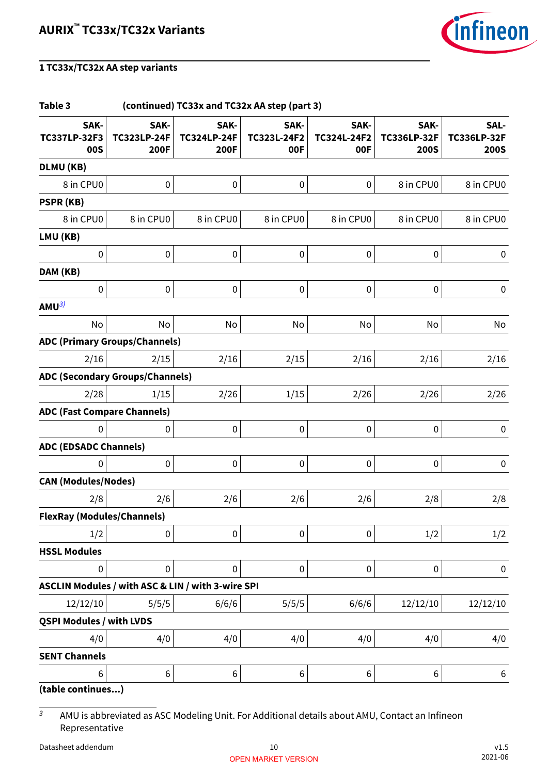

#### **Table 3 (continued) TC33x and TC32x AA step (part 3) SAK-TC337LP-32F3 00S SAK-TC323LP-24F 200F SAK-TC324LP-24F 200F SAK-TC323L-24F2 00F SAK-TC324L-24F2 00F SAK-TC336LP-32F 200S SAL-TC336LP-32F 200S DLMU (KB)** 8 in CPU0 0 0 0 0 8 in CPU0 8 in CPU0 **PSPR (KB)** 8 in CPU0 8 in CPU0 8 in CPU0 8 in CPU0 8 in CPU0 8 in CPU0 8 in CPU0 **LMU (KB)**  $\begin{array}{ccccccc} \vert & & & \vert & 0 \vert & & & \vert & 0 \vert & & & \vert & 0 \vert & & & \vert & 0 \vert & & & \vert & 0 \vert & & & \vert & 0 \vert & & & \vert & 0 \vert & & & \vert & 0 \vert & & & \vert & 0 \vert & & & \vert & 0 \vert & & & \vert & 0 \vert & & & \vert & 0 \vert & & & \vert & 0 \vert & & & \vert & 0 \vert & & & \vert & 0 \vert & & & \vert & 0 \vert & & & \vert & 0 \vert & & & \vert & 0 \vert & & & \vert & 0 \vert & & & \vert & 0 \vert & & & \vert & 0 \vert$ **DAM (KB)** 0 0 0 0 0 0 0 **AMU**3) No No No No No No No No No **ADC (Primary Groups/Channels)**  $2/16 \hspace{1cm} 2/15 \hspace{1cm} 2/16 \hspace{1cm} 2/16 \hspace{1cm} 2/16 \hspace{1cm} 2/16$ **ADC (Secondary Groups/Channels)** 2/28 1/15 2/26 1/15 2/26 2/26 2/26 **ADC (Fast Compare Channels)**  $\begin{array}{ccccccc} \vert & & & \vert & 0 \vert & & & \vert & 0 \vert & & & \vert & 0 \vert & & & \vert & 0 \vert & & & \vert & 0 \vert & & & \vert & 0 \vert & & & \vert & 0 \vert & & & \vert & 0 \vert & & & \vert & 0 \vert & & & \vert & 0 \vert & & & \vert & 0 \vert & & & \vert & 0 \vert & & & \vert & 0 \vert & & & \vert & 0 \vert & & & \vert & 0 \vert & & & \vert & 0 \vert & & & \vert & 0 \vert & & & \vert & 0 \vert & & & \vert & 0 \vert & & & \vert & 0 \vert & & & \vert & 0 \vert$ **ADC (EDSADC Channels)**  $\begin{array}{ccccccc} \vert & & & \vert & 0 \vert & & & \vert & 0 \vert & & & \vert & 0 \vert & & & \vert & 0 \vert & & & \vert & 0 \vert & & & \vert & 0 \vert & & & \vert & 0 \vert & & & \vert & 0 \vert & & & \vert & 0 \vert & & & \vert & 0 \vert & & & \vert & 0 \vert & & & \vert & 0 \vert & & & \vert & 0 \vert & & & \vert & 0 \vert & & & \vert & 0 \vert & & & \vert & 0 \vert & & & \vert & 0 \vert & & & \vert & 0 \vert & & & \vert & 0 \vert & & & \vert & 0 \vert & & & \vert & 0 \vert$ **CAN (Modules/Nodes)**  $2/8$  2/6 2/6 2/6 2/6 2/6 2/8 2/8 **FlexRay (Modules/Channels)**  $1/2$  0 0 0 0 1/2  $1/2$ **HSSL Modules** 0 0 0 0 0 0 0 **ASCLIN Modules / with ASC & LIN / with 3-wire SPI** 12/12/10 5/5/5 6/6/6 5/5/5 6/6/6 12/12/10 12/12/10 **QSPI Modules / with LVDS**  $4/0 \hspace{2cm} 4/0 \hspace{2cm} 4/0 \hspace{2cm} 4/0 \hspace{2cm} 4/0$ **SENT Channels**  $\begin{array}{ccc} \vert 6 \vert \hspace{1.8cm} \vert & \vert 6 \vert \hspace{1.8cm} \vert & \vert 6 \vert \hspace{1.8cm} \vert & \vert 6 \vert \hspace{1.8cm} \vert & \vert 6 \vert \end{array}$ **(table continues...)**

<sup>3</sup> AMU is abbreviated as ASC Modeling Unit. For Additional details about AMU, Contact an Infineon Representative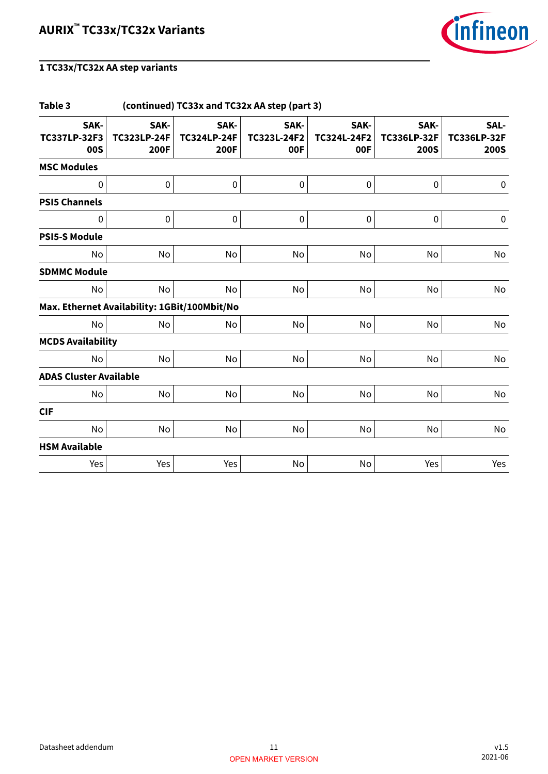

| Table 3<br>(continued) TC33x and TC32x AA step (part 3) |                                    |                                           |                            |                            |                                           |                                           |
|---------------------------------------------------------|------------------------------------|-------------------------------------------|----------------------------|----------------------------|-------------------------------------------|-------------------------------------------|
| SAK-<br><b>TC337LP-32F3</b><br>00S                      | SAK-<br><b>TC323LP-24F</b><br>200F | SAK-<br><b>TC324LP-24F</b><br><b>200F</b> | SAK-<br>TC323L-24F2<br>00F | SAK-<br>TC324L-24F2<br>00F | SAK-<br><b>TC336LP-32F</b><br><b>200S</b> | SAL-<br><b>TC336LP-32F</b><br><b>200S</b> |
| <b>MSC Modules</b>                                      |                                    |                                           |                            |                            |                                           |                                           |
| 0                                                       | 0                                  | 0                                         | $\pmb{0}$                  | $\pmb{0}$                  | $\pmb{0}$                                 | $\pmb{0}$                                 |
| <b>PSI5 Channels</b>                                    |                                    |                                           |                            |                            |                                           |                                           |
| 0                                                       | 0                                  | $\pmb{0}$                                 | $\pmb{0}$                  | $\pmb{0}$                  | $\pmb{0}$                                 | $\pmb{0}$                                 |
| <b>PSI5-S Module</b>                                    |                                    |                                           |                            |                            |                                           |                                           |
| No                                                      | No                                 | No                                        | No                         | No                         | No                                        | No                                        |
| <b>SDMMC Module</b>                                     |                                    |                                           |                            |                            |                                           |                                           |
| No                                                      | No                                 | No                                        | No                         | <b>No</b>                  | No                                        | No                                        |
| Max. Ethernet Availability: 1GBit/100Mbit/No            |                                    |                                           |                            |                            |                                           |                                           |
| <b>No</b>                                               | No                                 | No                                        | No                         | No                         | No                                        | No                                        |
| <b>MCDS Availability</b>                                |                                    |                                           |                            |                            |                                           |                                           |
| No                                                      | No                                 | No                                        | No                         | No                         | No                                        | No                                        |
| <b>ADAS Cluster Available</b>                           |                                    |                                           |                            |                            |                                           |                                           |
| No                                                      | No                                 | No                                        | No                         | No                         | No                                        | No                                        |
| <b>CIF</b>                                              |                                    |                                           |                            |                            |                                           |                                           |
| No                                                      | No                                 | No                                        | No                         | No                         | No                                        | No                                        |
| <b>HSM Available</b>                                    |                                    |                                           |                            |                            |                                           |                                           |
| Yes                                                     | Yes                                | Yes                                       | No                         | No                         | Yes                                       | Yes                                       |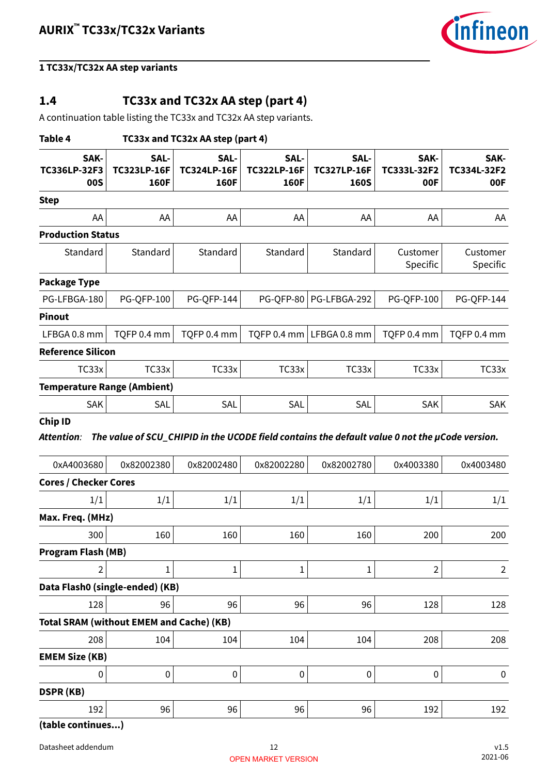

### <span id="page-11-0"></span>**1.4 TC33x and TC32x AA step (part 4)**

A continuation table listing the TC33x and TC32x AA step variants.

| Table 4                                         |                                    | TC33x and TC32x AA step (part 4)   |                                           |                                                                                                              |                            |                            |
|-------------------------------------------------|------------------------------------|------------------------------------|-------------------------------------------|--------------------------------------------------------------------------------------------------------------|----------------------------|----------------------------|
| SAK-<br>TC336LP-32F3<br><b>00S</b>              | SAL-<br><b>TC323LP-16F</b><br>160F | SAL-<br><b>TC324LP-16F</b><br>160F | SAL-<br><b>TC322LP-16F</b><br><b>160F</b> | SAL-<br><b>TC327LP-16F</b><br><b>160S</b>                                                                    | SAK-<br>TC333L-32F2<br>00F | SAK-<br>TC334L-32F2<br>00F |
| <b>Step</b>                                     |                                    |                                    |                                           |                                                                                                              |                            |                            |
| AA                                              | AA                                 | AA                                 | AA                                        | AA                                                                                                           | AA                         | AA                         |
| <b>Production Status</b>                        |                                    |                                    |                                           |                                                                                                              |                            |                            |
| Standard                                        | Standard                           | Standard                           | Standard                                  | Standard                                                                                                     | Customer<br>Specific       | Customer<br>Specific       |
| <b>Package Type</b>                             |                                    |                                    |                                           |                                                                                                              |                            |                            |
| PG-LFBGA-180                                    | <b>PG-QFP-100</b>                  | <b>PG-QFP-144</b>                  | <b>PG-QFP-80</b>                          | PG-LFBGA-292                                                                                                 | <b>PG-QFP-100</b>          | <b>PG-QFP-144</b>          |
| <b>Pinout</b>                                   |                                    |                                    |                                           |                                                                                                              |                            |                            |
| LFBGA 0.8 mm                                    | TQFP 0.4 mm                        | TQFP 0.4 mm                        | TQFP 0.4 mm                               | LFBGA 0.8 mm                                                                                                 | TQFP 0.4 mm                | TQFP 0.4 mm                |
| <b>Reference Silicon</b>                        |                                    |                                    |                                           |                                                                                                              |                            |                            |
| TC33x                                           | TC33x                              | TC33x                              | TC33x                                     | TC33x                                                                                                        | TC33x                      | TC33x                      |
| <b>Temperature Range (Ambient)</b>              |                                    |                                    |                                           |                                                                                                              |                            |                            |
| SAK                                             | SAL                                | <b>SAL</b>                         | <b>SAL</b>                                | SAL                                                                                                          | SAK                        | <b>SAK</b>                 |
| Attention:<br>0xA4003680                        | 0x82002380                         | 0x82002480                         | 0x82002280                                | The value of SCU_CHIPID in the UCODE field contains the default value 0 not the µCode version.<br>0x82002780 | 0x4003380                  | 0x4003480                  |
| <b>Cores / Checker Cores</b>                    |                                    |                                    |                                           |                                                                                                              |                            |                            |
| 1/1                                             | 1/1                                | 1/1                                | 1/1                                       | 1/1                                                                                                          | 1/1                        | 1/1                        |
| Max. Freq. (MHz)                                |                                    |                                    |                                           |                                                                                                              |                            |                            |
| 300                                             | 160                                | 160                                | 160                                       | 160                                                                                                          | 200                        | 200                        |
| <b>Program Flash (MB)</b>                       |                                    |                                    |                                           |                                                                                                              |                            |                            |
| 2                                               | $\mathbf{1}$                       | $\mathbf{1}$                       | $\mathbf 1$                               | $\mathbf{1}$                                                                                                 | $\overline{2}$             | $\overline{2}$             |
| Data Flash0 (single-ended) (KB)                 |                                    |                                    |                                           |                                                                                                              |                            |                            |
| 128                                             | 96                                 | 96                                 | 96                                        | 96                                                                                                           | 128                        | 128                        |
| <b>Total SRAM (without EMEM and Cache) (KB)</b> |                                    |                                    |                                           |                                                                                                              |                            |                            |
| 208                                             | 104                                | 104                                | 104                                       | 104                                                                                                          | 208                        | 208                        |
| <b>EMEM Size (KB)</b>                           |                                    |                                    |                                           |                                                                                                              |                            |                            |
| 0                                               | $\boldsymbol{0}$                   | $\pmb{0}$                          | $\pmb{0}$                                 | $\boldsymbol{0}$                                                                                             | $\boldsymbol{0}$           | 0                          |
| <b>DSPR (KB)</b>                                |                                    |                                    |                                           |                                                                                                              |                            |                            |
| 192                                             | 96                                 | 96                                 | 96                                        | 96                                                                                                           | 192                        | 192                        |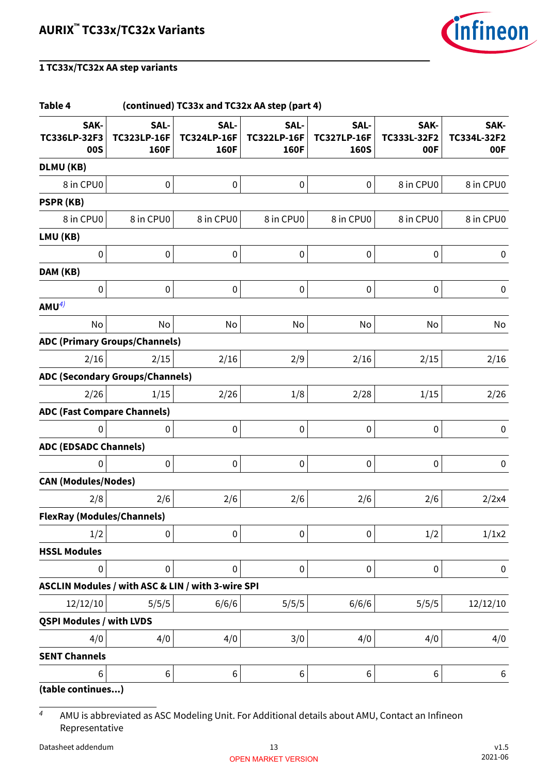

#### **Table 4 (continued) TC33x and TC32x AA step (part 4) SAK-TC336LP-32F3 00S SAL-TC323LP-16F 160F SAL-TC324LP-16F 160F SAL-TC322LP-16F 160F SAL-TC327LP-16F 160S SAK-TC333L-32F2 00F SAK-TC334L-32F2 00F DLMU (KB)** 8 in CPU0 0 0 0 0 8 in CPU0 8 in CPU0 **PSPR (KB)** 8 in CPU0 8 in CPU0 8 in CPU0 8 in CPU0 8 in CPU0 8 in CPU0 8 in CPU0 **LMU (KB)**  $\begin{array}{ccccccc} \vert & & & \vert & 0 \vert & & & \vert & 0 \vert & & & \vert & 0 \vert & & & \vert & 0 \vert & & & \vert & 0 \vert & & & \vert & 0 \vert & & & \vert & 0 \vert & & & \vert & 0 \vert & & & \vert & 0 \vert & & & \vert & 0 \vert & & & \vert & 0 \vert & & & \vert & 0 \vert & & & \vert & 0 \vert & & & \vert & 0 \vert & & & \vert & 0 \vert & & & \vert & 0 \vert & & & \vert & 0 \vert & & & \vert & 0 \vert & & & \vert & 0 \vert & & & \vert & 0 \vert & & & \vert & 0 \vert$ **DAM (KB)** 0 0 0 0 0 0 0  $AMU<sup>4</sup>$ No No No No No No No No No **ADC (Primary Groups/Channels)** 2/16  $2/15$  2/16 2/9 2/16 2/16 2/15 2/16 **ADC (Secondary Groups/Channels)** 2/26  $1/15$  2/26  $1/8$  2/28  $1/15$  2/26 **ADC (Fast Compare Channels)**  $\begin{array}{ccccccc} \vert & & & \vert & 0 \vert & & & \vert & 0 \vert & & & \vert & 0 \vert & & & \vert & 0 \vert & & & \vert & 0 \vert & & & \vert & 0 \vert & & & \vert & 0 \vert & & & \vert & 0 \vert & & & \vert & 0 \vert & & & \vert & 0 \vert & & & \vert & 0 \vert & & & \vert & 0 \vert & & & \vert & 0 \vert & & & \vert & 0 \vert & & & \vert & 0 \vert & & & \vert & 0 \vert & & & \vert & 0 \vert & & & \vert & 0 \vert & & & \vert & 0 \vert & & & \vert & 0 \vert & & & \vert & 0 \vert$ **ADC (EDSADC Channels)**  $\begin{array}{ccccccc} \vert & & & \vert & 0 \vert & & & \vert & 0 \vert & & & \vert & 0 \vert & & & \vert & 0 \vert & & & \vert & 0 \vert & & & \vert & 0 \vert & & & \vert & 0 \vert & & & \vert & 0 \vert & & & \vert & 0 \vert & & & \vert & 0 \vert & & & \vert & 0 \vert & & & \vert & 0 \vert & & & \vert & 0 \vert & & & \vert & 0 \vert & & & \vert & 0 \vert & & & \vert & 0 \vert & & & \vert & 0 \vert & & & \vert & 0 \vert & & & \vert & 0 \vert & & & \vert & 0 \vert & & & \vert & 0 \vert$ **CAN (Modules/Nodes)** 2/8 2/6 2/6 2/6 2/6 2/6 2/2x4 **FlexRay (Modules/Channels)**  $1/2$  0 0 0 0 1/2  $1/2$  1/1x2 **HSSL Modules** 0 0 0 0 0 0 0 **ASCLIN Modules / with ASC & LIN / with 3-wire SPI** 12/12/10 5/5/5 6/6/6 5/5/5 6/6/6 5/5/5 12/12/10 **QSPI Modules / with LVDS**  $4/0 \hspace{2cm} 4/0 \hspace{2cm} 4/0 \hspace{2cm} 3/0 \hspace{2cm} 4/0 \hspace{2cm} 4/0 \hspace{2cm} 4/0$ **SENT Channels**  $\begin{array}{ccc} \vert 6 \vert \hspace{1.8cm} \vert & \vert 6 \vert \hspace{1.8cm} \vert & \vert 6 \vert \hspace{1.8cm} \vert & \vert 6 \vert \hspace{1.8cm} \vert & \vert 6 \vert \end{array}$

**(table continues...)**

4 AMU is abbreviated as ASC Modeling Unit. For Additional details about AMU, Contact an Infineon Representative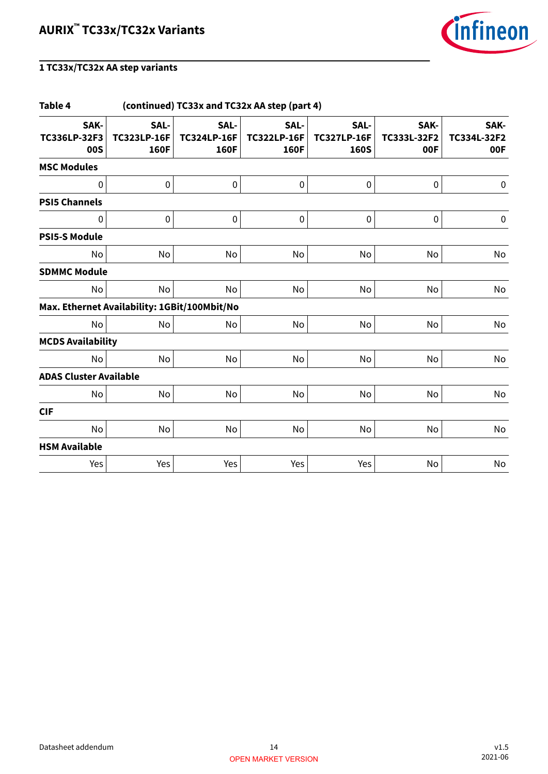

| Table 4                                      | (continued) TC33x and TC32x AA step (part 4) |                                           |                                    |                                           |                            |                            |  |  |
|----------------------------------------------|----------------------------------------------|-------------------------------------------|------------------------------------|-------------------------------------------|----------------------------|----------------------------|--|--|
| SAK-<br>TC336LP-32F3<br>00S                  | SAL-<br><b>TC323LP-16F</b><br>160F           | SAL-<br><b>TC324LP-16F</b><br><b>160F</b> | SAL-<br><b>TC322LP-16F</b><br>160F | SAL-<br><b>TC327LP-16F</b><br><b>160S</b> | SAK-<br>TC333L-32F2<br>00F | SAK-<br>TC334L-32F2<br>00F |  |  |
| <b>MSC Modules</b>                           |                                              |                                           |                                    |                                           |                            |                            |  |  |
| 0                                            | 0                                            | 0                                         | $\pmb{0}$                          | $\pmb{0}$                                 | $\pmb{0}$                  | $\pmb{0}$                  |  |  |
| <b>PSI5 Channels</b>                         |                                              |                                           |                                    |                                           |                            |                            |  |  |
| 0                                            | 0                                            | $\pmb{0}$                                 | $\pmb{0}$                          | $\pmb{0}$                                 | $\pmb{0}$                  | $\pmb{0}$                  |  |  |
| <b>PSI5-S Module</b>                         |                                              |                                           |                                    |                                           |                            |                            |  |  |
| No                                           | No                                           | No                                        | No                                 | No                                        | No                         | No                         |  |  |
| <b>SDMMC Module</b>                          |                                              |                                           |                                    |                                           |                            |                            |  |  |
| No                                           | No                                           | No                                        | No                                 | <b>No</b>                                 | No                         | No                         |  |  |
| Max. Ethernet Availability: 1GBit/100Mbit/No |                                              |                                           |                                    |                                           |                            |                            |  |  |
| <b>No</b>                                    | No                                           | No                                        | No                                 | No                                        | No                         | No                         |  |  |
| <b>MCDS Availability</b>                     |                                              |                                           |                                    |                                           |                            |                            |  |  |
| No                                           | No                                           | No                                        | No                                 | No                                        | No                         | No                         |  |  |
| <b>ADAS Cluster Available</b>                |                                              |                                           |                                    |                                           |                            |                            |  |  |
| No                                           | No                                           | No                                        | No                                 | No                                        | No                         | No                         |  |  |
| <b>CIF</b>                                   |                                              |                                           |                                    |                                           |                            |                            |  |  |
| No                                           | No                                           | No                                        | No                                 | No                                        | No                         | No                         |  |  |
| <b>HSM Available</b>                         |                                              |                                           |                                    |                                           |                            |                            |  |  |
| Yes                                          | Yes                                          | Yes                                       | Yes                                | Yes                                       | No                         | No                         |  |  |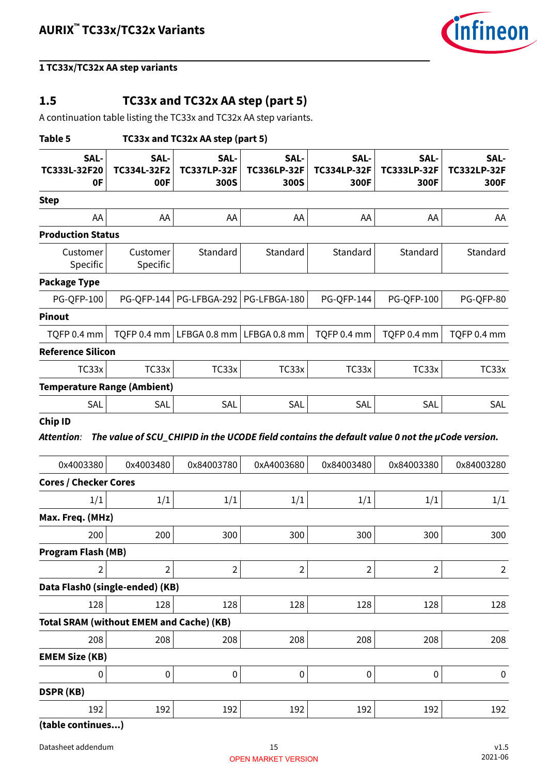

### <span id="page-14-0"></span>**1.5 TC33x and TC32x AA step (part 5)**

A continuation table listing the TC33x and TC32x AA step variants.

| Table 5                                                |                            | TC33x and TC32x AA step (part 5)   |                                                                                                |                                    |                                    |                                    |
|--------------------------------------------------------|----------------------------|------------------------------------|------------------------------------------------------------------------------------------------|------------------------------------|------------------------------------|------------------------------------|
| SAL-<br>TC333L-32F20<br>0F                             | SAL-<br>TC334L-32F2<br>00F | SAL-<br><b>TC337LP-32F</b><br>300S | SAL-<br><b>TC336LP-32F</b><br>300S                                                             | SAL-<br><b>TC334LP-32F</b><br>300F | SAL-<br><b>TC333LP-32F</b><br>300F | SAL-<br><b>TC332LP-32F</b><br>300F |
| <b>Step</b>                                            |                            |                                    |                                                                                                |                                    |                                    |                                    |
| AA                                                     | AA                         | AA                                 | AA                                                                                             | AA                                 | AA                                 | AA                                 |
| <b>Production Status</b>                               |                            |                                    |                                                                                                |                                    |                                    |                                    |
| Customer<br>Specific                                   | Customer<br>Specific       | Standard                           | Standard                                                                                       | Standard                           | Standard                           | Standard                           |
| <b>Package Type</b>                                    |                            |                                    |                                                                                                |                                    |                                    |                                    |
| <b>PG-QFP-100</b>                                      | PG-QFP-144                 | PG-LFBGA-292                       | PG-LFBGA-180                                                                                   | <b>PG-QFP-144</b>                  | <b>PG-QFP-100</b>                  | PG-QFP-80                          |
| <b>Pinout</b>                                          |                            |                                    |                                                                                                |                                    |                                    |                                    |
| TQFP 0.4 mm                                            | TQFP 0.4 mm                | LFBGA 0.8 mm $ $ LFBGA 0.8 mm      |                                                                                                | TQFP 0.4 mm                        | TQFP 0.4 mm                        | TQFP 0.4 mm                        |
| <b>Reference Silicon</b>                               |                            |                                    |                                                                                                |                                    |                                    |                                    |
| TC33x                                                  | TC33x                      | TC33x                              | TC33x                                                                                          | TC33x                              | TC33x                              | TC33x                              |
| <b>Temperature Range (Ambient)</b>                     |                            |                                    |                                                                                                |                                    |                                    |                                    |
| SAL                                                    | SAL                        | SAL                                | SAL                                                                                            | SAL                                | SAL                                | SAL                                |
| Attention:<br>0x4003380                                | 0x4003480                  | 0x84003780                         | The value of SCU_CHIPID in the UCODE field contains the default value 0 not the µCode version. |                                    |                                    |                                    |
| <b>Cores / Checker Cores</b>                           |                            |                                    |                                                                                                |                                    |                                    |                                    |
| 1/1                                                    |                            |                                    | 0xA4003680                                                                                     | 0x84003480                         | 0x84003380                         | 0x84003280                         |
|                                                        |                            |                                    |                                                                                                |                                    |                                    |                                    |
|                                                        | 1/1                        | 1/1                                | 1/1                                                                                            | 1/1                                | 1/1                                | 1/1                                |
| 200                                                    | 200                        | 300                                | 300                                                                                            | 300                                | 300                                | 300                                |
| Max. Freq. (MHz)<br><b>Program Flash (MB)</b>          |                            |                                    |                                                                                                |                                    |                                    |                                    |
| 2                                                      | $\overline{2}$             | $\overline{\mathbf{c}}$            | $\overline{2}$                                                                                 | 2                                  | $\overline{2}$                     | $\overline{2}$                     |
| Data Flash0 (single-ended) (KB)                        |                            |                                    |                                                                                                |                                    |                                    |                                    |
| 128                                                    | 128                        | 128                                | 128                                                                                            | 128                                | 128                                | 128                                |
|                                                        |                            |                                    |                                                                                                |                                    |                                    |                                    |
| <b>Total SRAM (without EMEM and Cache) (KB)</b><br>208 | 208                        | 208                                | 208                                                                                            | 208                                | 208                                | 208                                |
| <b>EMEM Size (KB)</b>                                  |                            |                                    |                                                                                                |                                    |                                    |                                    |
| 0                                                      | $\boldsymbol{0}$           | $\pmb{0}$                          | $\pmb{0}$                                                                                      | 0                                  | $\pmb{0}$                          | $\boldsymbol{0}$                   |
| <b>DSPR (KB)</b>                                       |                            |                                    |                                                                                                |                                    |                                    |                                    |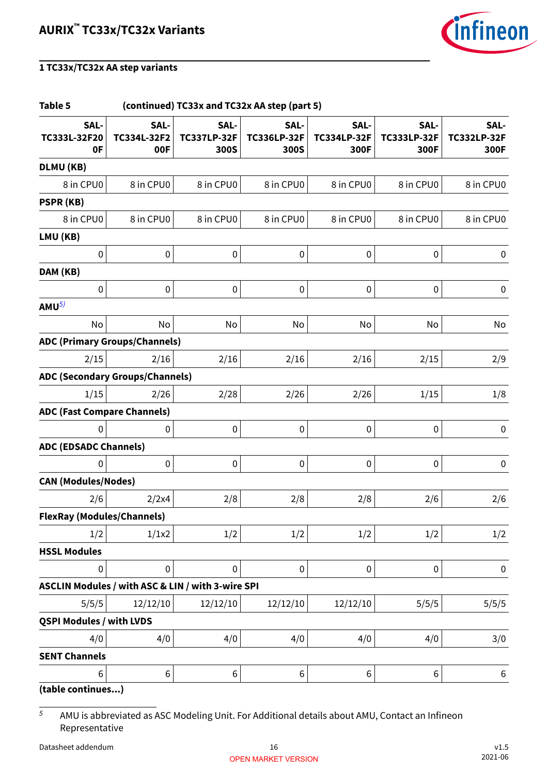

#### **Table 5 (continued) TC33x and TC32x AA step (part 5) SAL-TC333L-32F20 0F SAL-TC334L-32F2 00F SAL-TC337LP-32F 300S SAL-TC336LP-32F 300S SAL-TC334LP-32F 300F SAL-TC333LP-32F 300F SAL-TC332LP-32F 300F DLMU (KB)** 8 in CPU0  $\vert$  8 in CPU0  $\vert$  8 in CPU0  $\vert$  8 in CPU0  $\vert$  8 in CPU0  $\vert$  8 in CPU0 8 in CPU0 **PSPR (KB)** 8 in CPU0 8 in CPU0 8 in CPU0 8 in CPU0 8 in CPU0 8 in CPU0 8 in CPU0 **LMU (KB)**  $\begin{array}{ccccccc} \vert & & & \vert & 0 \vert & & & \vert & 0 \vert & & & \vert & 0 \vert & & & \vert & 0 \vert & & & \vert & 0 \vert & & & \vert & 0 \vert & & & \vert & 0 \vert & & & \vert & 0 \vert & & & \vert & 0 \vert & & & \vert & 0 \vert & & & \vert & 0 \vert & & & \vert & 0 \vert & & & \vert & 0 \vert & & & \vert & 0 \vert & & & \vert & 0 \vert & & & \vert & 0 \vert & & & \vert & 0 \vert & & & \vert & 0 \vert & & & \vert & 0 \vert & & & \vert & 0 \vert & & & \vert & 0 \vert$ **DAM (KB)** 0 0 0 0 0 0 0 **AMU**5) No No No No No No No No No **ADC (Primary Groups/Channels)**  $2/15$  2/16 2/16 2/16 2/16 2/16 2/15 2/9 **ADC (Secondary Groups/Channels)**  $1/15$  2/26 2/28 2/26 2/26  $1/15$   $1/8$ **ADC (Fast Compare Channels)**  $\begin{array}{ccccccc} \vert & & & \vert & 0 \vert & & & \vert & 0 \vert & & & \vert & 0 \vert & & & \vert & 0 \vert & & & \vert & 0 \vert & & & \vert & 0 \vert & & & \vert & 0 \vert & & & \vert & 0 \vert & & & \vert & 0 \vert & & & \vert & 0 \vert & & & \vert & 0 \vert & & & \vert & 0 \vert & & & \vert & 0 \vert & & & \vert & 0 \vert & & & \vert & 0 \vert & & & \vert & 0 \vert & & & \vert & 0 \vert & & & \vert & 0 \vert & & & \vert & 0 \vert & & & \vert & 0 \vert & & & \vert & 0 \vert$ **ADC (EDSADC Channels)**  $\begin{array}{ccccccc} \vert & & & \vert & 0 \vert & & & \vert & 0 \vert & & & \vert & 0 \vert & & & \vert & 0 \vert & & & \vert & 0 \vert & & & \vert & 0 \vert & & & \vert & 0 \vert & & & \vert & 0 \vert & & & \vert & 0 \vert & & & \vert & 0 \vert & & & \vert & 0 \vert & & & \vert & 0 \vert & & & \vert & 0 \vert & & & \vert & 0 \vert & & & \vert & 0 \vert & & & \vert & 0 \vert & & & \vert & 0 \vert & & & \vert & 0 \vert & & & \vert & 0 \vert & & & \vert & 0 \vert & & & \vert & 0 \vert$ **CAN (Modules/Nodes)**  $2/6 \begin{vmatrix} 2/2x4 \end{vmatrix}$   $2/8 \begin{vmatrix} 2/8 \end{vmatrix}$   $2/6 \begin{vmatrix} 2/6 \end{vmatrix}$   $2/6$ **FlexRay (Modules/Channels)**  $1/2$  1/1x2 1/2 1/2 1/2 1/2 1/2 **HSSL Modules** 0 0 0 0 0 0 0 **ASCLIN Modules / with ASC & LIN / with 3-wire SPI** 5/5/5 12/12/10 12/12/10 12/12/10 12/12/10 5/5/5 5/5/5 **QSPI Modules / with LVDS**  $4/0 \hspace{2cm} 4/0 \hspace{2cm} 4/0 \hspace{2cm} 3/0$ **SENT Channels**  $\begin{array}{ccc} \vert 6 \vert \hspace{1.8cm} \vert & \vert 6 \vert \hspace{1.8cm} \vert & \vert 6 \vert \hspace{1.8cm} \vert & \vert 6 \vert \hspace{1.8cm} \vert & \vert 6 \vert \end{array}$ **(table continues...)**

 $5$  AMU is abbreviated as ASC Modeling Unit. For Additional details about AMU, Contact an Infineon Representative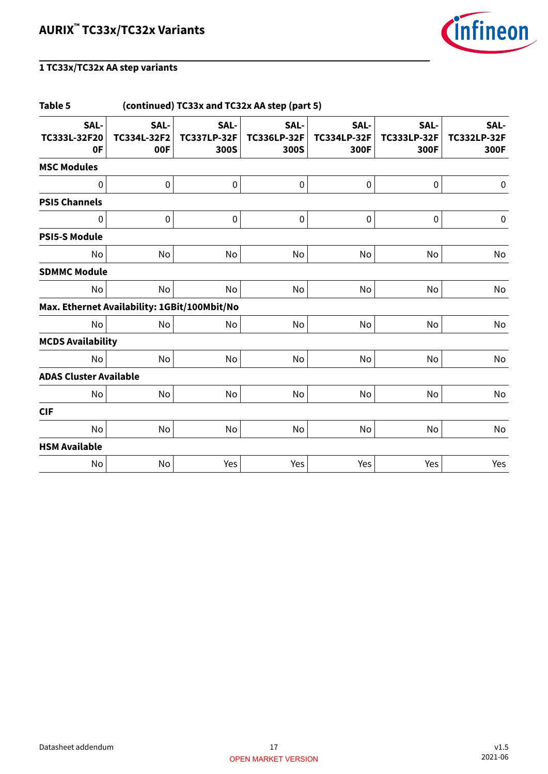

| Table 5<br>(continued) TC33x and TC32x AA step (part 5) |                            |                                    |                                    |                                    |                                    |                                    |  |  |
|---------------------------------------------------------|----------------------------|------------------------------------|------------------------------------|------------------------------------|------------------------------------|------------------------------------|--|--|
| SAL-<br>TC333L-32F20<br>0F                              | SAL-<br>TC334L-32F2<br>00F | SAL-<br><b>TC337LP-32F</b><br>300S | SAL-<br><b>TC336LP-32F</b><br>300S | SAL-<br><b>TC334LP-32F</b><br>300F | SAL-<br><b>TC333LP-32F</b><br>300F | SAL-<br><b>TC332LP-32F</b><br>300F |  |  |
| <b>MSC Modules</b>                                      |                            |                                    |                                    |                                    |                                    |                                    |  |  |
| $\mathbf 0$                                             | $\pmb{0}$                  | 0                                  | $\pmb{0}$                          | $\pmb{0}$                          | $\pmb{0}$                          | 0                                  |  |  |
| <b>PSI5 Channels</b>                                    |                            |                                    |                                    |                                    |                                    |                                    |  |  |
| $\pmb{0}$                                               | $\pmb{0}$                  | 0                                  | $\pmb{0}$                          | $\pmb{0}$                          | $\pmb{0}$                          | $\pmb{0}$                          |  |  |
| <b>PSI5-S Module</b>                                    |                            |                                    |                                    |                                    |                                    |                                    |  |  |
| No                                                      | No                         | No                                 | No                                 | No                                 | No                                 | No                                 |  |  |
| <b>SDMMC Module</b>                                     |                            |                                    |                                    |                                    |                                    |                                    |  |  |
| No                                                      | No                         | No                                 | No                                 | No                                 | No                                 | No                                 |  |  |
| Max. Ethernet Availability: 1GBit/100Mbit/No            |                            |                                    |                                    |                                    |                                    |                                    |  |  |
| No                                                      | No                         | No                                 | No                                 | No                                 | No                                 | No                                 |  |  |
| <b>MCDS Availability</b>                                |                            |                                    |                                    |                                    |                                    |                                    |  |  |
| No                                                      | No                         | No                                 | No                                 | No                                 | No                                 | No                                 |  |  |
| <b>ADAS Cluster Available</b>                           |                            |                                    |                                    |                                    |                                    |                                    |  |  |
| No                                                      | No                         | No                                 | No                                 | No                                 | No                                 | No                                 |  |  |
| <b>CIF</b>                                              |                            |                                    |                                    |                                    |                                    |                                    |  |  |
| No                                                      | No                         | No                                 | No                                 | No                                 | No                                 | No                                 |  |  |
| <b>HSM Available</b>                                    |                            |                                    |                                    |                                    |                                    |                                    |  |  |
| No                                                      | No                         | Yes                                | Yes                                | Yes                                | Yes                                | Yes                                |  |  |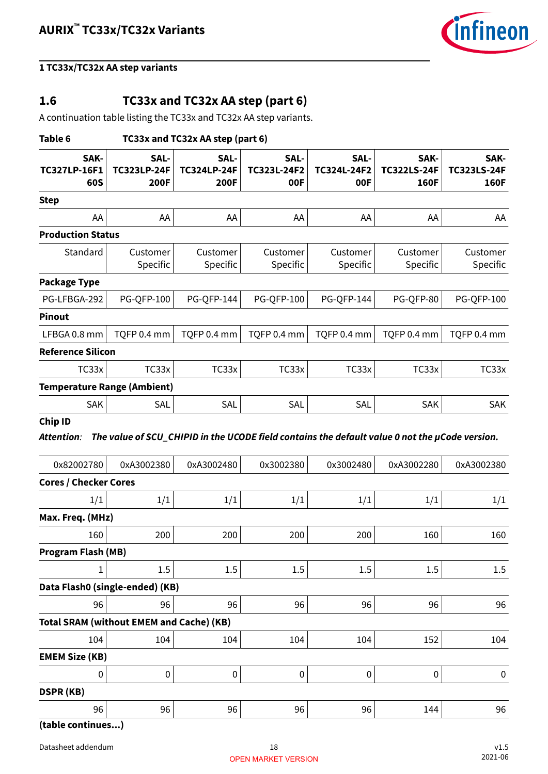

### <span id="page-17-0"></span>**1.6 TC33x and TC32x AA step (part 6)**

A continuation table listing the TC33x and TC32x AA step variants.

| Table 6<br>TC33x and TC32x AA step (part 6)     |                                    |                                    |                            |                                                                                                |                                    |                                    |  |
|-------------------------------------------------|------------------------------------|------------------------------------|----------------------------|------------------------------------------------------------------------------------------------|------------------------------------|------------------------------------|--|
| SAK-<br><b>TC327LP-16F1</b><br>60S              | SAL-<br><b>TC323LP-24F</b><br>200F | SAL-<br><b>TC324LP-24F</b><br>200F | SAL-<br>TC323L-24F2<br>00F | SAL-<br>TC324L-24F2<br>00F                                                                     | SAK-<br><b>TC322LS-24F</b><br>160F | SAK-<br><b>TC323LS-24F</b><br>160F |  |
| <b>Step</b>                                     |                                    |                                    |                            |                                                                                                |                                    |                                    |  |
| AA                                              | AA                                 | AA                                 | AA                         | AA                                                                                             | AA                                 | AA                                 |  |
| <b>Production Status</b>                        |                                    |                                    |                            |                                                                                                |                                    |                                    |  |
| Standard                                        | Customer<br>Specific               | Customer<br>Specific               | Customer<br>Specific       | Customer<br>Specific                                                                           | Customer<br>Specific               | Customer<br>Specific               |  |
| <b>Package Type</b>                             |                                    |                                    |                            |                                                                                                |                                    |                                    |  |
| PG-LFBGA-292                                    | <b>PG-QFP-100</b>                  | <b>PG-QFP-144</b>                  | <b>PG-QFP-100</b>          | <b>PG-QFP-144</b>                                                                              | PG-QFP-80                          | <b>PG-QFP-100</b>                  |  |
| <b>Pinout</b>                                   |                                    |                                    |                            |                                                                                                |                                    |                                    |  |
| LFBGA 0.8 mm                                    | TQFP 0.4 mm                        | TQFP 0.4 mm                        | TQFP 0.4 mm                | TQFP 0.4 mm                                                                                    | TQFP 0.4 mm                        | TQFP 0.4 mm                        |  |
| <b>Reference Silicon</b>                        |                                    |                                    |                            |                                                                                                |                                    |                                    |  |
| TC33x                                           | TC33x                              | TC33x                              | TC33x                      | TC33x                                                                                          | TC33x                              | TC33x                              |  |
| <b>Temperature Range (Ambient)</b>              |                                    |                                    |                            |                                                                                                |                                    |                                    |  |
| <b>SAK</b>                                      | SAL                                | SAL                                | SAL                        | SAL                                                                                            | <b>SAK</b>                         | <b>SAK</b>                         |  |
| <b>Attention:</b>                               |                                    |                                    |                            | The value of SCU_CHIPID in the UCODE field contains the default value 0 not the µCode version. |                                    |                                    |  |
| 0x82002780                                      | 0xA3002380                         | 0xA3002480                         | 0x3002380                  | 0x3002480                                                                                      | 0xA3002280                         | 0xA3002380                         |  |
| <b>Cores / Checker Cores</b>                    |                                    |                                    |                            |                                                                                                |                                    |                                    |  |
| 1/1                                             | 1/1                                | 1/1                                | 1/1                        | 1/1                                                                                            | 1/1                                | 1/1                                |  |
| Max. Freq. (MHz)                                |                                    |                                    |                            |                                                                                                |                                    |                                    |  |
| 160<br><b>Program Flash (MB)</b>                | 200                                | $200\,$                            | 200                        | 200                                                                                            | 160                                | 160                                |  |
| L                                               | 1.5                                | 1.5                                | 1.5                        | 1.5                                                                                            | 1.5                                | 1.5                                |  |
| Data Flash0 (single-ended) (KB)                 |                                    |                                    |                            |                                                                                                |                                    |                                    |  |
| 96                                              | 96                                 | 96                                 | 96                         | 96                                                                                             | 96                                 | 96                                 |  |
| <b>Total SRAM (without EMEM and Cache) (KB)</b> |                                    |                                    |                            |                                                                                                |                                    |                                    |  |
| 104                                             | 104                                | 104                                | 104                        | 104                                                                                            | 152                                | 104                                |  |
| <b>EMEM Size (KB)</b>                           |                                    |                                    |                            |                                                                                                |                                    |                                    |  |
| 0                                               | $\pmb{0}$                          | 0                                  | 0                          | $\pmb{0}$                                                                                      | $\pmb{0}$                          | 0                                  |  |
| <b>DSPR (KB)</b>                                |                                    |                                    |                            |                                                                                                |                                    |                                    |  |
| 96                                              | 96                                 | 96                                 | 96                         | 96                                                                                             | 144                                | 96                                 |  |
|                                                 |                                    |                                    |                            |                                                                                                |                                    |                                    |  |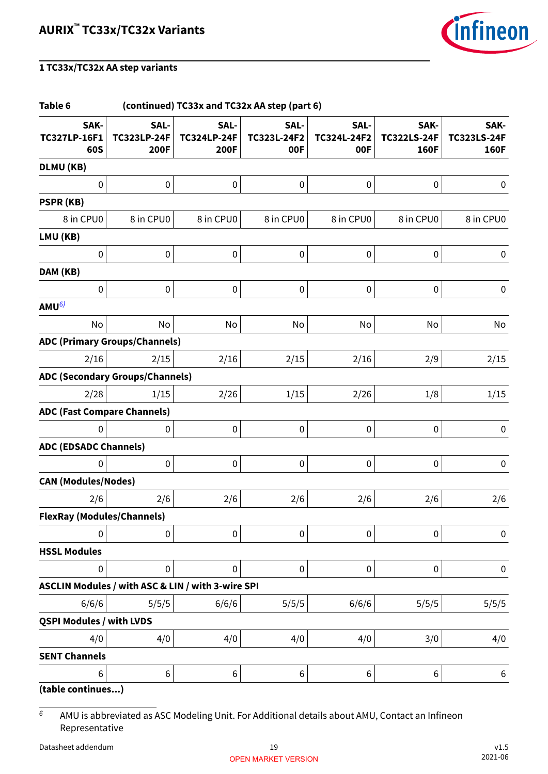

#### **Table 6 (continued) TC33x and TC32x AA step (part 6) SAK-TC327LP-16F1 60S SAL-TC323LP-24F 200F SAL-TC324LP-24F 200F SAL-TC323L-24F2 00F SAL-TC324L-24F2 00F SAK-TC322LS-24F 160F SAK-TC323LS-24F 160F DLMU (KB)**  $\begin{array}{ccccccc} \vert & & & \vert & 0 \vert & & & \vert & 0 \vert & & & \vert & 0 \vert & & & \vert & 0 \vert & & & \vert & 0 \vert & & & \vert & 0 \vert & & & \vert & 0 \vert & & & \vert & 0 \vert & & & \vert & 0 \vert & & & \vert & 0 \vert & & & \vert & 0 \vert & & & \vert & 0 \vert & & & \vert & 0 \vert & & & \vert & 0 \vert & & & \vert & 0 \vert & & & \vert & 0 \vert & & & \vert & 0 \vert & & & \vert & 0 \vert & & & \vert & 0 \vert & & & \vert & 0 \vert & & & \vert & 0 \vert$ **PSPR (KB)** 8 in CPU0 8 in CPU0 8 in CPU0 8 in CPU0 8 in CPU0 8 in CPU0 8 in CPU0 **LMU (KB)**  $\begin{array}{ccccccc} \vert & & & \vert & 0 \vert & & & \vert & 0 \vert & & & \vert & 0 \vert & & & \vert & 0 \vert & & & \vert & 0 \vert & & & \vert & 0 \vert & & & \vert & 0 \vert & & & \vert & 0 \vert & & & \vert & 0 \vert & & & \vert & 0 \vert & & & \vert & 0 \vert & & & \vert & 0 \vert & & & \vert & 0 \vert & & & \vert & 0 \vert & & & \vert & 0 \vert & & & \vert & 0 \vert & & & \vert & 0 \vert & & & \vert & 0 \vert & & & \vert & 0 \vert & & & \vert & 0 \vert & & & \vert & 0 \vert$ **DAM (KB)** 0 0 0 0 0 0 0 **AMU**6) No No No No No No No No No **ADC (Primary Groups/Channels)**  $2/16 \hspace{1cm} 2/15 \hspace{1cm} 2/16 \hspace{1cm} 2/15 \hspace{1cm} 2/16 \hspace{1cm} 2/15$ **ADC (Secondary Groups/Channels)**  $2/28 \hspace{1cm} 1/15 \hspace{1cm} 2/26 \hspace{1cm} 1/15 \hspace{1cm} 2/26 \hspace{1cm} 1/8 \hspace{1cm} 1/15$ **ADC (Fast Compare Channels)**  $\begin{array}{ccccccc} \vert & & & \vert & 0 \vert & & & \vert & 0 \vert & & & \vert & 0 \vert & & & \vert & 0 \vert & & & \vert & 0 \vert & & & \vert & 0 \vert & & & \vert & 0 \vert & & & \vert & 0 \vert & & & \vert & 0 \vert & & & \vert & 0 \vert & & & \vert & 0 \vert & & & \vert & 0 \vert & & & \vert & 0 \vert & & & \vert & 0 \vert & & & \vert & 0 \vert & & & \vert & 0 \vert & & & \vert & 0 \vert & & & \vert & 0 \vert & & & \vert & 0 \vert & & & \vert & 0 \vert & & & \vert & 0 \vert$ **ADC (EDSADC Channels)**  $\begin{array}{ccccccc} \vert & & & \vert & 0 \vert & & & \vert & 0 \vert & & & \vert & 0 \vert & & & \vert & 0 \vert & & & \vert & 0 \vert & & & \vert & 0 \vert & & & \vert & 0 \vert & & & \vert & 0 \vert & & & \vert & 0 \vert & & & \vert & 0 \vert & & & \vert & 0 \vert & & & \vert & 0 \vert & & & \vert & 0 \vert & & & \vert & 0 \vert & & & \vert & 0 \vert & & & \vert & 0 \vert & & & \vert & 0 \vert & & & \vert & 0 \vert & & & \vert & 0 \vert & & & \vert & 0 \vert & & & \vert & 0 \vert$ **CAN (Modules/Nodes)**  $2/6$   $2/6$   $2/6$   $2/6$   $2/6$   $2/6$   $2/6$ **FlexRay (Modules/Channels)**  $\begin{array}{ccccccc} \vert & & & \vert & 0 \vert & & & \vert & 0 \vert & & & \vert & 0 \vert & & & \vert & 0 \vert & & & \vert & 0 \vert & & & \vert & 0 \vert & & & \vert & 0 \vert & & & \vert & 0 \vert & & & \vert & 0 \vert & & & \vert & 0 \vert & & & \vert & 0 \vert & & & \vert & 0 \vert & & & \vert & 0 \vert & & & \vert & 0 \vert & & & \vert & 0 \vert & & & \vert & 0 \vert & & & \vert & 0 \vert & & & \vert & 0 \vert & & & \vert & 0 \vert & & & \vert & 0 \vert & & & \vert & 0 \vert$ **HSSL Modules** 0 0 0 0 0 0 0 **ASCLIN Modules / with ASC & LIN / with 3-wire SPI** 6/6/6 5/5/5 6/6/6 5/5/5 6/6/6 5/5/5 5/5/5 **QSPI Modules / with LVDS**  $4/0 \hspace{2cm} 4/0 \hspace{2cm} 4/0 \hspace{2cm} 4/0 \hspace{2cm} 4/0$ **SENT Channels**  $\begin{array}{ccc} \vert 6 \vert \hspace{1.8cm} \vert & \vert 6 \vert \hspace{1.8cm} \vert & \vert 6 \vert \hspace{1.8cm} \vert & \vert 6 \vert \hspace{1.8cm} \vert & \vert 6 \vert \end{array}$

**(table continues...)**

 $6$  AMU is abbreviated as ASC Modeling Unit. For Additional details about AMU, Contact an Infineon Representative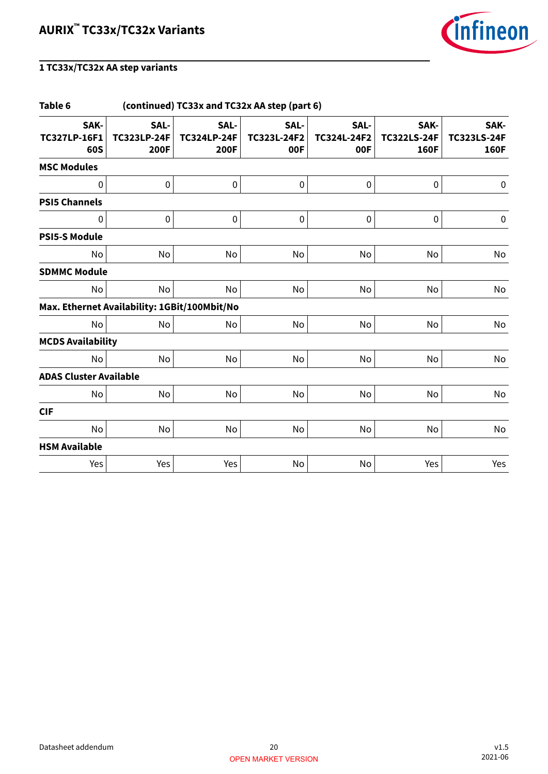

| Table 6<br>(continued) TC33x and TC32x AA step (part 6) |                                    |                                           |                            |                            |                                    |                                           |  |
|---------------------------------------------------------|------------------------------------|-------------------------------------------|----------------------------|----------------------------|------------------------------------|-------------------------------------------|--|
| SAK-<br><b>TC327LP-16F1</b><br>60S                      | SAL-<br><b>TC323LP-24F</b><br>200F | SAL-<br><b>TC324LP-24F</b><br><b>200F</b> | SAL-<br>TC323L-24F2<br>00F | SAL-<br>TC324L-24F2<br>00F | SAK-<br><b>TC322LS-24F</b><br>160F | SAK-<br><b>TC323LS-24F</b><br><b>160F</b> |  |
| <b>MSC Modules</b>                                      |                                    |                                           |                            |                            |                                    |                                           |  |
| 0                                                       | 0                                  | 0                                         | $\pmb{0}$                  | $\pmb{0}$                  | $\pmb{0}$                          | $\pmb{0}$                                 |  |
| <b>PSI5 Channels</b>                                    |                                    |                                           |                            |                            |                                    |                                           |  |
| 0                                                       | 0                                  | $\pmb{0}$                                 | $\pmb{0}$                  | $\pmb{0}$                  | $\pmb{0}$                          | $\pmb{0}$                                 |  |
| <b>PSI5-S Module</b>                                    |                                    |                                           |                            |                            |                                    |                                           |  |
| No                                                      | No                                 | No                                        | No                         | No                         | No                                 | No                                        |  |
| <b>SDMMC Module</b>                                     |                                    |                                           |                            |                            |                                    |                                           |  |
| No                                                      | No                                 | No                                        | No                         | <b>No</b>                  | No                                 | No                                        |  |
| Max. Ethernet Availability: 1GBit/100Mbit/No            |                                    |                                           |                            |                            |                                    |                                           |  |
| <b>No</b>                                               | No                                 | No                                        | No                         | No                         | No                                 | No                                        |  |
| <b>MCDS Availability</b>                                |                                    |                                           |                            |                            |                                    |                                           |  |
| No                                                      | No                                 | No                                        | No                         | No                         | No                                 | No                                        |  |
| <b>ADAS Cluster Available</b>                           |                                    |                                           |                            |                            |                                    |                                           |  |
| No                                                      | No                                 | No                                        | No                         | No                         | No                                 | No                                        |  |
| <b>CIF</b>                                              |                                    |                                           |                            |                            |                                    |                                           |  |
| No                                                      | No                                 | No                                        | No                         | No                         | No                                 | No                                        |  |
| <b>HSM Available</b>                                    |                                    |                                           |                            |                            |                                    |                                           |  |
| Yes                                                     | Yes                                | Yes                                       | No                         | No                         | Yes                                | Yes                                       |  |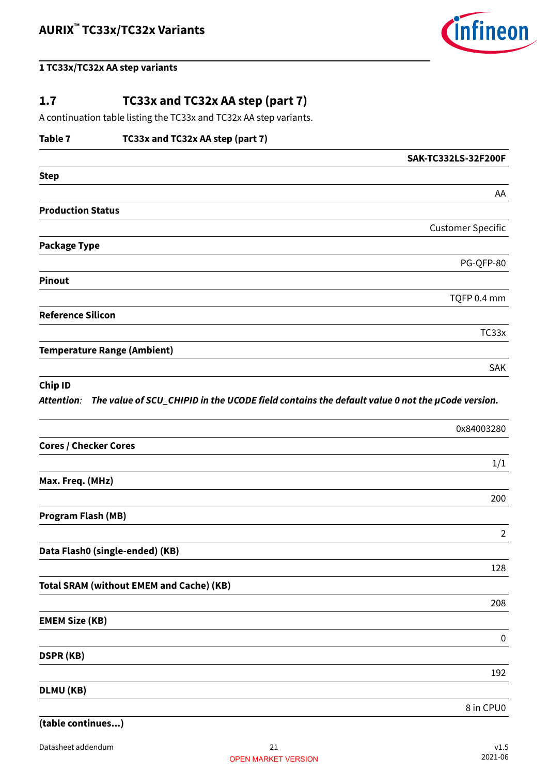

### <span id="page-20-0"></span>**1.7 TC33x and TC32x AA step (part 7)**

A continuation table listing the TC33x and TC32x AA step variants.

### **Table 7 TC33x and TC32x AA step (part 7)**

|                                    | SAK-TC332LS-32F200F      |
|------------------------------------|--------------------------|
| <b>Step</b>                        |                          |
|                                    | AA                       |
| <b>Production Status</b>           |                          |
|                                    | <b>Customer Specific</b> |
| <b>Package Type</b>                |                          |
|                                    | PG-QFP-80                |
| <b>Pinout</b>                      |                          |
|                                    | TQFP 0.4 mm              |
| <b>Reference Silicon</b>           |                          |
|                                    | TC33x                    |
| <b>Temperature Range (Ambient)</b> |                          |
|                                    | <b>SAK</b>               |

#### **Chip ID**

**Attention**: **The value of SCU\_CHIPID in the UCODE field contains the default value 0 not the µCode version.**

|                                                 | 0x84003280     |
|-------------------------------------------------|----------------|
| <b>Cores / Checker Cores</b>                    |                |
|                                                 | 1/1            |
| Max. Freq. (MHz)                                |                |
|                                                 | 200            |
| <b>Program Flash (MB)</b>                       |                |
|                                                 | $\overline{2}$ |
| Data Flash0 (single-ended) (KB)                 |                |
|                                                 | 128            |
| <b>Total SRAM (without EMEM and Cache) (KB)</b> |                |
|                                                 | 208            |
| <b>EMEM Size (KB)</b>                           |                |
|                                                 | $\mathbf 0$    |
| <b>DSPR (KB)</b>                                |                |
|                                                 | 192            |
| DLMU (KB)                                       |                |
|                                                 | 8 in CPU0      |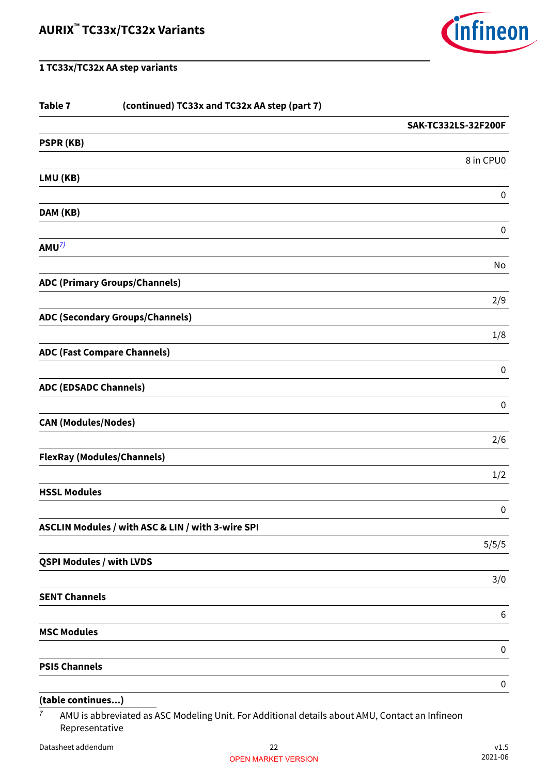

| Table 7                         | (continued) TC33x and TC32x AA step (part 7)      |                     |
|---------------------------------|---------------------------------------------------|---------------------|
|                                 |                                                   | SAK-TC332LS-32F200F |
| PSPR (KB)                       |                                                   |                     |
|                                 |                                                   | 8 in CPU0           |
| LMU (KB)                        |                                                   |                     |
|                                 |                                                   | $\pmb{0}$           |
| DAM (KB)                        |                                                   |                     |
| AMU <sup>7</sup>                |                                                   | $\pmb{0}$           |
|                                 |                                                   | No                  |
|                                 | <b>ADC (Primary Groups/Channels)</b>              |                     |
|                                 |                                                   | 2/9                 |
|                                 | <b>ADC (Secondary Groups/Channels)</b>            |                     |
|                                 |                                                   | 1/8                 |
|                                 | <b>ADC (Fast Compare Channels)</b>                |                     |
|                                 |                                                   | $\pmb{0}$           |
| <b>ADC (EDSADC Channels)</b>    |                                                   | $\pmb{0}$           |
| <b>CAN (Modules/Nodes)</b>      |                                                   |                     |
|                                 |                                                   | 2/6                 |
|                                 | <b>FlexRay (Modules/Channels)</b>                 |                     |
|                                 |                                                   | 1/2                 |
| <b>HSSL Modules</b>             |                                                   |                     |
|                                 |                                                   | $\mathbf 0$         |
|                                 | ASCLIN Modules / with ASC & LIN / with 3-wire SPI |                     |
|                                 |                                                   | 5/5/5               |
| <b>QSPI Modules / with LVDS</b> |                                                   |                     |
|                                 |                                                   | 3/0                 |
| <b>SENT Channels</b>            |                                                   |                     |
| <b>MSC Modules</b>              |                                                   | $6\,$               |
|                                 |                                                   | $\boldsymbol{0}$    |
| <b>PSI5 Channels</b>            |                                                   |                     |
|                                 |                                                   | $\pmb{0}$           |
|                                 |                                                   |                     |

### **(table continues...)**

<sup>7</sup> AMU is abbreviated as ASC Modeling Unit. For Additional details about AMU, Contact an Infineon Representative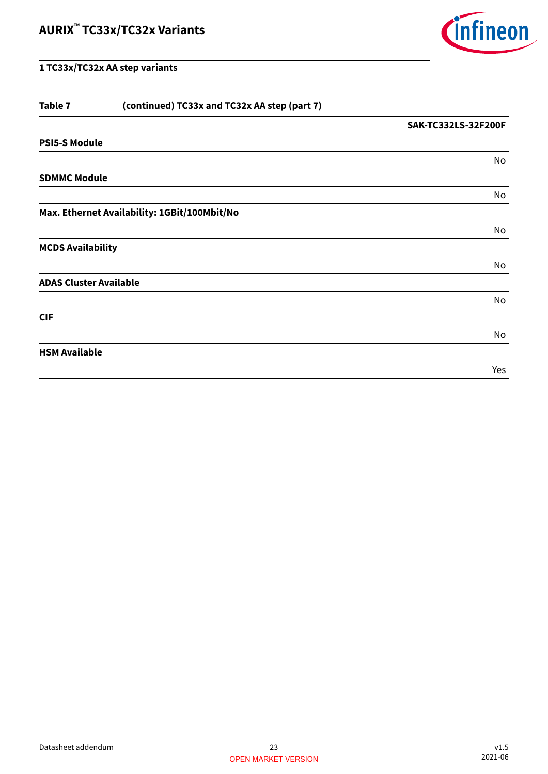

| (continued) TC33x and TC32x AA step (part 7) |                     |
|----------------------------------------------|---------------------|
|                                              | SAK-TC332LS-32F200F |
|                                              |                     |
|                                              | No                  |
| <b>SDMMC Module</b>                          |                     |
|                                              | No                  |
| Max. Ethernet Availability: 1GBit/100Mbit/No |                     |
|                                              | No                  |
| <b>MCDS Availability</b>                     |                     |
|                                              | No                  |
| <b>ADAS Cluster Available</b>                |                     |
|                                              | No                  |
|                                              |                     |
|                                              | No                  |
|                                              |                     |
|                                              | Yes                 |
|                                              |                     |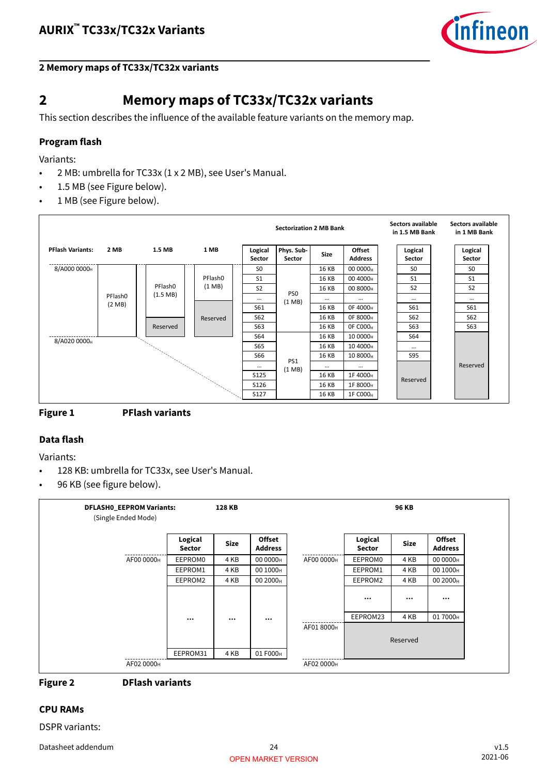

### <span id="page-23-0"></span>**2 Memory maps of TC33x/TC32x variants**

### **2 Memory maps of TC33x/TC32x variants**

This section describes the influence of the available feature variants on the memory map.

### **Program flash**

Variants:

- 2 MB: umbrella for TC33x (1 x 2 MB), see User's Manual.
- 1.5 MB (see Figure below).
- 1 MB (see Figure below).





### **Data flash**

Variants:

- 128 KB: umbrella for TC33x, see User's Manual.
- 96 KB (see figure below).

| <b>DFLASH0_EEPROM Variants:</b><br>(Single Ended Mode) |                          | 128 KB      |                                 |            | <b>96 KB</b>             |             |                                 |  |
|--------------------------------------------------------|--------------------------|-------------|---------------------------------|------------|--------------------------|-------------|---------------------------------|--|
|                                                        | Logical<br><b>Sector</b> | <b>Size</b> | <b>Offset</b><br><b>Address</b> |            | Logical<br><b>Sector</b> | <b>Size</b> | <b>Offset</b><br><b>Address</b> |  |
| AF00 0000H                                             | EEPROM0                  | 4 KB        | 00 0000 <sub>H</sub>            | AF00 0000H | EEPROM0                  | 4 KB        | 00 0000 <sub>H</sub>            |  |
|                                                        | EEPROM1                  | 4 KB        | 00 1000 <sub>H</sub>            |            | EEPROM1                  | 4 KB        | 00 1000 <sub>H</sub>            |  |
|                                                        | EEPROM2                  | 4 KB        | 00 2000 <sub>H</sub>            |            | EEPROM2                  | 4 KB        | 00 2000 <sub>H</sub>            |  |
|                                                        |                          |             |                                 |            | $\cdots$                 | $\cdots$    | $\cdots$                        |  |
|                                                        | $\cdots$                 | $\cdots$    | $\cdots$                        |            | EEPROM23                 | 4 KB        | 017000 <sub>H</sub>             |  |
|                                                        |                          |             |                                 | AF01 8000H |                          | Reserved    |                                 |  |
|                                                        | EEPROM31                 | 4 KB        | 01 F000 <sub>H</sub>            |            |                          |             |                                 |  |
| AF02 0000H                                             |                          |             |                                 | AF02 0000H |                          |             |                                 |  |

### **Figure 2 DFlash variants**

#### **CPU RAMs**

DSPR variants: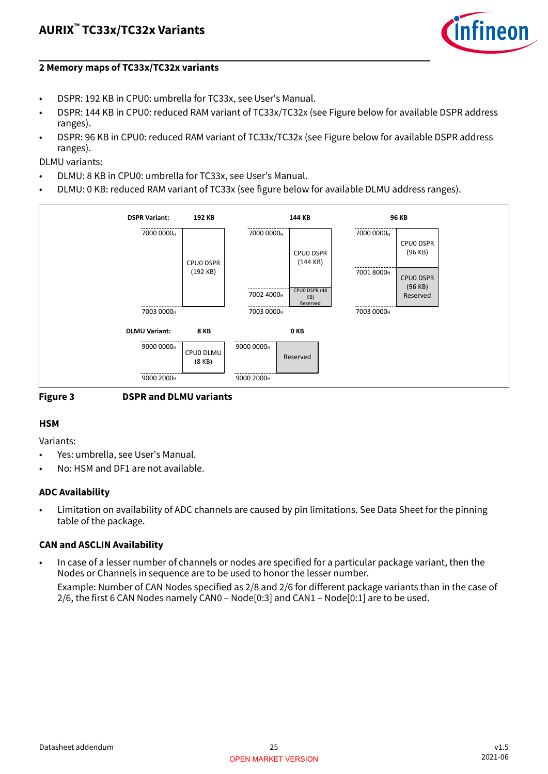

#### **2 Memory maps of TC33x/TC32x variants**

- DSPR: 192 KB in CPU0: umbrella for TC33x, see User's Manual.
- DSPR: 144 KB in CPU0: reduced RAM variant of TC33x/TC32x (see Figure below for available DSPR address ranges).
- DSPR: 96 KB in CPU0: reduced RAM variant of TC33x/TC32x (see Figure below for available DSPR address ranges).
- DLMU variants:
- DLMU: 8 KB in CPU0: umbrella for TC33x, see User's Manual.
- DLMU: 0 KB: reduced RAM variant of TC33x (see figure below for available DLMU address ranges).





#### **HSM**

Variants:

- Yes: umbrella, see User's Manual.
- No: HSM and DF1 are not available.

### **ADC Availability**

• Limitation on availability of ADC channels are caused by pin limitations. See Data Sheet for the pinning table of the package.

### **CAN and ASCLIN Availability**

• In case of a lesser number of channels or nodes are specified for a particular package variant, then the Nodes or Channels in sequence are to be used to honor the lesser number.

Example: Number of CAN Nodes specified as 2/8 and 2/6 for different package variants than in the case of 2/6, the first 6 CAN Nodes namely CAN0 – Node[0:3] and CAN1 – Node[0:1] are to be used.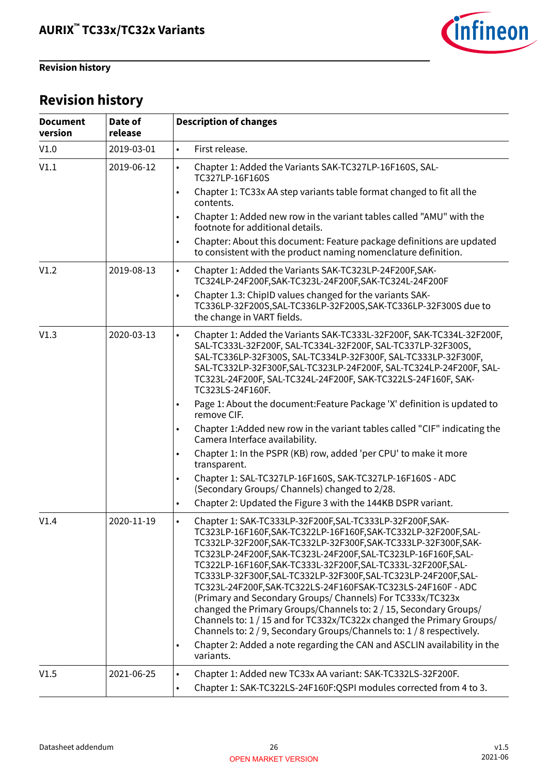<span id="page-25-0"></span>**Revision history**



## **Revision history**

| <b>Document</b><br>version | Date of<br>release | <b>Description of changes</b>                                                                                                                                                                                                                                                                                                                                                                                                                                                                                                                                                                                                                                                                                                                                                                                                                                         |
|----------------------------|--------------------|-----------------------------------------------------------------------------------------------------------------------------------------------------------------------------------------------------------------------------------------------------------------------------------------------------------------------------------------------------------------------------------------------------------------------------------------------------------------------------------------------------------------------------------------------------------------------------------------------------------------------------------------------------------------------------------------------------------------------------------------------------------------------------------------------------------------------------------------------------------------------|
| V1.0                       | 2019-03-01         | First release.<br>$\bullet$                                                                                                                                                                                                                                                                                                                                                                                                                                                                                                                                                                                                                                                                                                                                                                                                                                           |
| V1.1                       | 2019-06-12         | Chapter 1: Added the Variants SAK-TC327LP-16F160S, SAL-<br>$\bullet$<br>TC327LP-16F160S                                                                                                                                                                                                                                                                                                                                                                                                                                                                                                                                                                                                                                                                                                                                                                               |
|                            |                    | Chapter 1: TC33x AA step variants table format changed to fit all the<br>$\bullet$<br>contents.                                                                                                                                                                                                                                                                                                                                                                                                                                                                                                                                                                                                                                                                                                                                                                       |
|                            |                    | Chapter 1: Added new row in the variant tables called "AMU" with the<br>$\bullet$<br>footnote for additional details.                                                                                                                                                                                                                                                                                                                                                                                                                                                                                                                                                                                                                                                                                                                                                 |
|                            |                    | Chapter: About this document: Feature package definitions are updated<br>$\bullet$<br>to consistent with the product naming nomenclature definition.                                                                                                                                                                                                                                                                                                                                                                                                                                                                                                                                                                                                                                                                                                                  |
| V1.2                       | 2019-08-13         | Chapter 1: Added the Variants SAK-TC323LP-24F200F, SAK-<br>$\bullet$<br>TC324LP-24F200F,SAK-TC323L-24F200F,SAK-TC324L-24F200F                                                                                                                                                                                                                                                                                                                                                                                                                                                                                                                                                                                                                                                                                                                                         |
|                            |                    | Chapter 1.3: ChipID values changed for the variants SAK-<br>$\bullet$<br>TC336LP-32F200S, SAL-TC336LP-32F200S, SAK-TC336LP-32F300S due to<br>the change in VART fields.                                                                                                                                                                                                                                                                                                                                                                                                                                                                                                                                                                                                                                                                                               |
| V1.3                       | 2020-03-13         | Chapter 1: Added the Variants SAK-TC333L-32F200F, SAK-TC334L-32F200F,<br>$\bullet$<br>SAL-TC333L-32F200F, SAL-TC334L-32F200F, SAL-TC337LP-32F300S,<br>SAL-TC336LP-32F300S, SAL-TC334LP-32F300F, SAL-TC333LP-32F300F,<br>SAL-TC332LP-32F300F, SAL-TC323LP-24F200F, SAL-TC324LP-24F200F, SAL-<br>TC323L-24F200F, SAL-TC324L-24F200F, SAK-TC322LS-24F160F, SAK-<br>TC323LS-24F160F.                                                                                                                                                                                                                                                                                                                                                                                                                                                                                      |
|                            |                    | Page 1: About the document: Feature Package 'X' definition is updated to<br>$\bullet$<br>remove CIF.                                                                                                                                                                                                                                                                                                                                                                                                                                                                                                                                                                                                                                                                                                                                                                  |
|                            |                    | Chapter 1: Added new row in the variant tables called "CIF" indicating the<br>Camera Interface availability.                                                                                                                                                                                                                                                                                                                                                                                                                                                                                                                                                                                                                                                                                                                                                          |
|                            |                    | Chapter 1: In the PSPR (KB) row, added 'per CPU' to make it more<br>$\bullet$<br>transparent.                                                                                                                                                                                                                                                                                                                                                                                                                                                                                                                                                                                                                                                                                                                                                                         |
|                            |                    | Chapter 1: SAL-TC327LP-16F160S, SAK-TC327LP-16F160S - ADC<br>$\bullet$<br>(Secondary Groups/ Channels) changed to 2/28.                                                                                                                                                                                                                                                                                                                                                                                                                                                                                                                                                                                                                                                                                                                                               |
|                            |                    | Chapter 2: Updated the Figure 3 with the 144KB DSPR variant.<br>$\bullet$                                                                                                                                                                                                                                                                                                                                                                                                                                                                                                                                                                                                                                                                                                                                                                                             |
| V1.4                       | 2020-11-19         | Chapter 1: SAK-TC333LP-32F200F, SAL-TC333LP-32F200F, SAK-<br>$\bullet$<br>TC323LP-16F160F, SAK-TC322LP-16F160F, SAK-TC332LP-32F200F, SAL-<br>TC332LP-32F200F,SAK-TC332LP-32F300F,SAK-TC333LP-32F300F,SAK-<br>TC323LP-24F200F, SAK-TC323L-24F200F, SAL-TC323LP-16F160F, SAL-<br>TC322LP-16F160F,SAK-TC333L-32F200F,SAL-TC333L-32F200F,SAL-<br>TC333LP-32F300F, SAL-TC332LP-32F300F, SAL-TC323LP-24F200F, SAL-<br>TC323L-24F200F, SAK-TC322LS-24F160FSAK-TC323LS-24F160F-ADC<br>(Primary and Secondary Groups/ Channels) For TC333x/TC323x<br>changed the Primary Groups/Channels to: 2 / 15, Secondary Groups/<br>Channels to: 1 / 15 and for TC332x/TC322x changed the Primary Groups/<br>Channels to: 2 / 9, Secondary Groups/Channels to: 1 / 8 respectively.<br>Chapter 2: Added a note regarding the CAN and ASCLIN availability in the<br>$\bullet$<br>variants. |
| V1.5                       | 2021-06-25         | Chapter 1: Added new TC33x AA variant: SAK-TC332LS-32F200F.<br>$\bullet$<br>Chapter 1: SAK-TC322LS-24F160F:QSPI modules corrected from 4 to 3.<br>$\bullet$                                                                                                                                                                                                                                                                                                                                                                                                                                                                                                                                                                                                                                                                                                           |